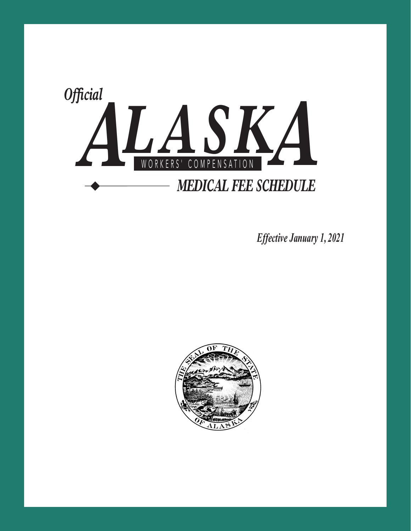

*Effective January 1, 2021* 

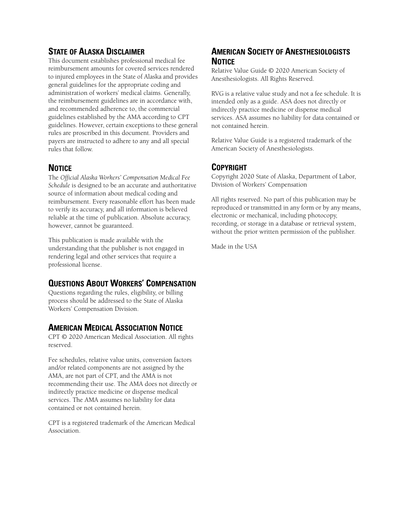## **STATE OF ALASKA DISCLAIMER**

This document establishes professional medical fee reimbursement amounts for covered services rendered to injured employees in the State of Alaska and provides general guidelines for the appropriate coding and administration of workers' medical claims. Generally, the reimbursement guidelines are in accordance with, and recommended adherence to, the commercial guidelines established by the AMA according to CPT guidelines. However, certain exceptions to these general rules are proscribed in this document. Providers and payers are instructed to adhere to any and all special rules that follow.

## **NOTICE**

The *Official Alaska Workers' Compensation Medical Fee Schedule* is designed to be an accurate and authoritative source of information about medical coding and reimbursement. Every reasonable effort has been made to verify its accuracy, and all information is believed reliable at the time of publication. Absolute accuracy, however, cannot be guaranteed.

This publication is made available with the understanding that the publisher is not engaged in rendering legal and other services that require a professional license.

## **QUESTIONS ABOUT WORKERS' COMPENSATION**

Questions regarding the rules, eligibility, or billing process should be addressed to the State of Alaska Workers' Compensation Division.

## **AMERICAN MEDICAL ASSOCIATION NOTICE**

CPT © 2020 American Medical Association. All rights reserved.

Fee schedules, relative value units, conversion factors and/or related components are not assigned by the AMA, are not part of CPT, and the AMA is not recommending their use. The AMA does not directly or indirectly practice medicine or dispense medical services. The AMA assumes no liability for data contained or not contained herein.

CPT is a registered trademark of the American Medical Association.

## **AMERICAN SOCIETY OF ANESTHESIOLOGISTS NOTICE**

Relative Value Guide © 2020 American Society of Anesthesiologists. All Rights Reserved.

RVG is a relative value study and not a fee schedule. It is intended only as a guide. ASA does not directly or indirectly practice medicine or dispense medical services. ASA assumes no liability for data contained or not contained herein.

Relative Value Guide is a registered trademark of the American Society of Anesthesiologists.

## **COPYRIGHT**

Copyright 2020 State of Alaska, Department of Labor, Division of Workers' Compensation

All rights reserved. No part of this publication may be reproduced or transmitted in any form or by any means, electronic or mechanical, including photocopy, recording, or storage in a database or retrieval system, without the prior written permission of the publisher.

Made in the USA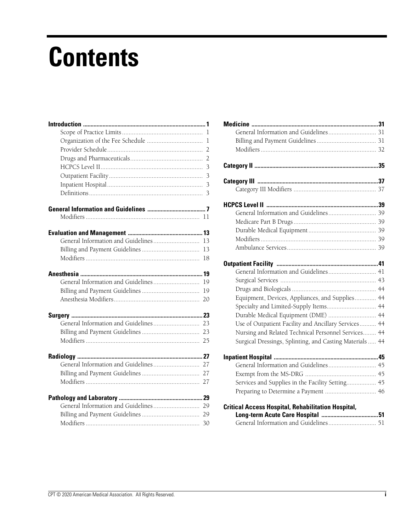## **Contents**

| 13 |
|----|
| 13 |
| 18 |
|    |
| 19 |
| 19 |
| 20 |
|    |
|    |
|    |
|    |
|    |
|    |
|    |
|    |
|    |
|    |
| 29 |
|    |

| General Information and Guidelines 41                     |  |
|-----------------------------------------------------------|--|
|                                                           |  |
|                                                           |  |
| Equipment, Devices, Appliances, and Supplies 44           |  |
| Specialty and Limited-Supply Items 44                     |  |
| Durable Medical Equipment (DME)  44                       |  |
| Use of Outpatient Facility and Ancillary Services 44      |  |
| Nursing and Related Technical Personnel Services 44       |  |
| Surgical Dressings, Splinting, and Casting Materials  44  |  |
|                                                           |  |
| General Information and Guidelines 45                     |  |
|                                                           |  |
| Services and Supplies in the Facility Setting 45          |  |
|                                                           |  |
| <b>Critical Access Hospital, Rehabilitation Hospital,</b> |  |
|                                                           |  |
|                                                           |  |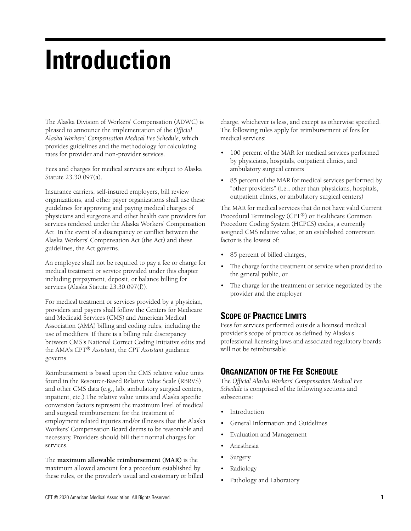## **Introduction**

The Alaska Division of Workers' Compensation (ADWC) is pleased to announce the implementation of the *Official Alaska Workers' Compensation Medical Fee Schedule,* which provides guidelines and the methodology for calculating rates for provider and non-provider services.

Fees and charges for medical services are subject to Alaska Statute 23.30.097(a).

Insurance carriers, self-insured employers, bill review organizations, and other payer organizations shall use these guidelines for approving and paying medical charges of physicians and surgeons and other health care providers for services rendered under the Alaska Workers' Compensation Act. In the event of a discrepancy or conflict between the Alaska Workers' Compensation Act (the Act) and these guidelines, the Act governs.

An employee shall not be required to pay a fee or charge for medical treatment or service provided under this chapter including prepayment, deposit, or balance billing for services (Alaska Statute 23.30.097(f)).

For medical treatment or services provided by a physician, providers and payers shall follow the Centers for Medicare and Medicaid Services (CMS) and American Medical Association (AMA) billing and coding rules, including the use of modifiers. If there is a billing rule discrepancy between CMS's National Correct Coding Initiative edits and the AMA's CPT® *Assistant*, the *CPT Assistant* guidance governs.

Reimbursement is based upon the CMS relative value units found in the Resource-Based Relative Value Scale (RBRVS) and other CMS data (e.g., lab, ambulatory surgical centers, inpatient, etc.).The relative value units and Alaska specific conversion factors represent the maximum level of medical and surgical reimbursement for the treatment of employment related injuries and/or illnesses that the Alaska Workers' Compensation Board deems to be reasonable and necessary. Providers should bill their normal charges for services.

The **maximum allowable reimbursement (MAR)** is the maximum allowed amount for a procedure established by these rules, or the provider's usual and customary or billed charge, whichever is less, and except as otherwise specified. The following rules apply for reimbursement of fees for medical services:

- 100 percent of the MAR for medical services performed by physicians, hospitals, outpatient clinics, and ambulatory surgical centers
- 85 percent of the MAR for medical services performed by "other providers" (i.e., other than physicians, hospitals, outpatient clinics, or ambulatory surgical centers)

The MAR for medical services that do not have valid Current Procedural Terminology (CPT®) or Healthcare Common Procedure Coding System (HCPCS) codes, a currently assigned CMS relative value, or an established conversion factor is the lowest of:

- 85 percent of billed charges,
- The charge for the treatment or service when provided to the general public, or
- The charge for the treatment or service negotiated by the provider and the employer

## **SCOPE OF PRACTICE LIMITS**

Fees for services performed outside a licensed medical provider's scope of practice as defined by Alaska's professional licensing laws and associated regulatory boards will not be reimbursable.

## **ORGANIZATION OF THE FEE SCHEDULE**

The *Official Alaska Workers' Compensation Medical Fee Schedule* is comprised of the following sections and subsections:

- Introduction
- General Information and Guidelines
- Evaluation and Management
- Anesthesia
- **Surgery**
- Radiology
- Pathology and Laboratory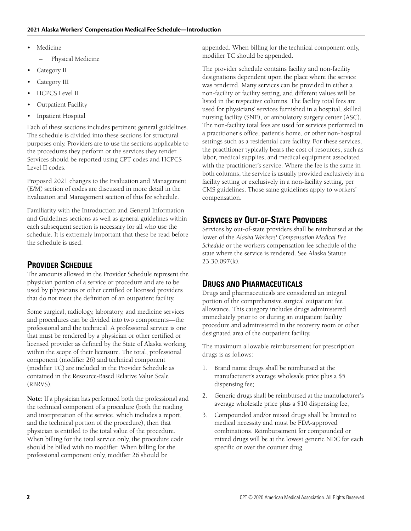- **Medicine** 
	- Physical Medicine
- Category II
- Category III
- HCPCS Level II
- Outpatient Facility
- Inpatient Hospital

Each of these sections includes pertinent general guidelines. The schedule is divided into these sections for structural purposes only. Providers are to use the sections applicable to the procedures they perform or the services they render. Services should be reported using CPT codes and HCPCS Level II codes.

Proposed 2021 changes to the Evaluation and Management (E/M) section of codes are discussed in more detail in the Evaluation and Management section of this fee schedule.

Familiarity with the Introduction and General Information and Guidelines sections as well as general guidelines within each subsequent section is necessary for all who use the schedule. It is extremely important that these be read before the schedule is used.

## **PROVIDER SCHEDULE**

The amounts allowed in the Provider Schedule represent the physician portion of a service or procedure and are to be used by physicians or other certified or licensed providers that do not meet the definition of an outpatient facility.

Some surgical, radiology, laboratory, and medicine services and procedures can be divided into two components—the professional and the technical. A professional service is one that must be rendered by a physician or other certified or licensed provider as defined by the State of Alaska working within the scope of their licensure. The total, professional component (modifier 26) and technical component (modifier TC) are included in the Provider Schedule as contained in the Resource-Based Relative Value Scale (RBRVS).

**Note:** If a physician has performed both the professional and the technical component of a procedure (both the reading and interpretation of the service, which includes a report, and the technical portion of the procedure), then that physician is entitled to the total value of the procedure. When billing for the total service only, the procedure code should be billed with no modifier. When billing for the professional component only, modifier 26 should be

appended. When billing for the technical component only, modifier TC should be appended.

The provider schedule contains facility and non-facility designations dependent upon the place where the service was rendered. Many services can be provided in either a non-facility or facility setting, and different values will be listed in the respective columns. The facility total fees are used for physicians' services furnished in a hospital, skilled nursing facility (SNF), or ambulatory surgery center (ASC). The non-facility total fees are used for services performed in a practitioner's office, patient's home, or other non-hospital settings such as a residential care facility. For these services, the practitioner typically bears the cost of resources, such as labor, medical supplies, and medical equipment associated with the practitioner's service. Where the fee is the same in both columns, the service is usually provided exclusively in a facility setting or exclusively in a non-facility setting, per CMS guidelines. Those same guidelines apply to workers' compensation.

## **SERVICES BY OUT-OF-STATE PROVIDERS**

Services by out-of-state providers shall be reimbursed at the lower of the *Alaska Workers' Compensation Medical Fee Schedule* or the workers compensation fee schedule of the state where the service is rendered. See Alaska Statute 23.30.097(k).

## **DRUGS AND PHARMACEUTICALS**

Drugs and pharmaceuticals are considered an integral portion of the comprehensive surgical outpatient fee allowance. This category includes drugs administered immediately prior to or during an outpatient facility procedure and administered in the recovery room or other designated area of the outpatient facility.

The maximum allowable reimbursement for prescription drugs is as follows:

- 1. Brand name drugs shall be reimbursed at the manufacturer's average wholesale price plus a \$5 dispensing fee;
- 2. Generic drugs shall be reimbursed at the manufacturer's average wholesale price plus a \$10 dispensing fee;
- 3. Compounded and/or mixed drugs shall be limited to medical necessity and must be FDA-approved combinations. Reimbursement for compounded or mixed drugs will be at the lowest generic NDC for each specific or over the counter drug.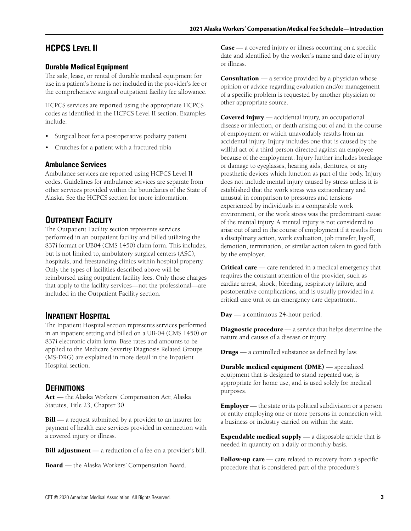## **HCPCS LEVEL II**

## **Durable Medical Equipment**

The sale, lease, or rental of durable medical equipment for use in a patient's home is not included in the provider's fee or the comprehensive surgical outpatient facility fee allowance.

HCPCS services are reported using the appropriate HCPCS codes as identified in the HCPCS Level II section. Examples include:

- Surgical boot for a postoperative podiatry patient
- Crutches for a patient with a fractured tibia

#### **Ambulance Services**

Ambulance services are reported using HCPCS Level II codes. Guidelines for ambulance services are separate from other services provided within the boundaries of the State of Alaska. See the HCPCS section for more information.

## **OUTPATIENT FACILITY**

The Outpatient Facility section represents services performed in an outpatient facility and billed utilizing the 837i format or UB04 (CMS 1450) claim form. This includes, but is not limited to, ambulatory surgical centers (ASC), hospitals, and freestanding clinics within hospital property. Only the types of facilities described above will be reimbursed using outpatient facility fees. Only those charges that apply to the facility services—not the professional—are included in the Outpatient Facility section.

## **INPATIENT HOSPITAL**

The Inpatient Hospital section represents services performed in an inpatient setting and billed on a UB-04 (CMS 1450) or 837i electronic claim form. Base rates and amounts to be applied to the Medicare Severity Diagnosis Related Groups (MS-DRG) are explained in more detail in the Inpatient Hospital section.

## **DEFINITIONS**

**Act** — the Alaska Workers' Compensation Act; Alaska Statutes, Title 23, Chapter 30.

**Bill** — a request submitted by a provider to an insurer for payment of health care services provided in connection with a covered injury or illness.

**Bill adjustment** — a reduction of a fee on a provider's bill.

**Board** — the Alaska Workers' Compensation Board.

**Case** — a covered injury or illness occurring on a specific date and identified by the worker's name and date of injury or illness.

**Consultation** — a service provided by a physician whose opinion or advice regarding evaluation and/or management of a specific problem is requested by another physician or other appropriate source.

**Covered injury** — accidental injury, an occupational disease or infection, or death arising out of and in the course of employment or which unavoidably results from an accidental injury. Injury includes one that is caused by the willful act of a third person directed against an employee because of the employment. Injury further includes breakage or damage to eyeglasses, hearing aids, dentures, or any prosthetic devices which function as part of the body. Injury does not include mental injury caused by stress unless it is established that the work stress was extraordinary and unusual in comparison to pressures and tensions experienced by individuals in a comparable work environment, or the work stress was the predominant cause of the mental injury. A mental injury is not considered to arise out of and in the course of employment if it results from a disciplinary action, work evaluation, job transfer, layoff, demotion, termination, or similar action taken in good faith by the employer.

**Critical care** — care rendered in a medical emergency that requires the constant attention of the provider, such as cardiac arrest, shock, bleeding, respiratory failure, and postoperative complications, and is usually provided in a critical care unit or an emergency care department.

**Day** — a continuous 24-hour period.

**Diagnostic procedure** — a service that helps determine the nature and causes of a disease or injury.

**Drugs** — a controlled substance as defined by law.

**Durable medical equipment (DME)** — specialized equipment that is designed to stand repeated use, is appropriate for home use, and is used solely for medical purposes.

**Employer** — the state or its political subdivision or a person or entity employing one or more persons in connection with a business or industry carried on within the state.

**Expendable medical supply** — a disposable article that is needed in quantity on a daily or monthly basis.

**Follow-up care** — care related to recovery from a specific procedure that is considered part of the procedure's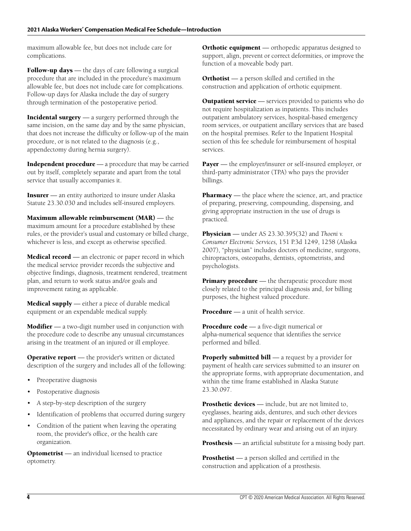maximum allowable fee, but does not include care for complications.

**Follow-up days** — the days of care following a surgical procedure that are included in the procedure's maximum allowable fee, but does not include care for complications. Follow-up days for Alaska include the day of surgery through termination of the postoperative period.

**Incidental surgery** — a surgery performed through the same incision, on the same day and by the same physician, that does not increase the difficulty or follow-up of the main procedure, or is not related to the diagnosis (e.g., appendectomy during hernia surgery).

**Independent procedure** — a procedure that may be carried out by itself, completely separate and apart from the total service that usually accompanies it.

**Insurer** — an entity authorized to insure under Alaska Statute 23.30.030 and includes self-insured employers.

**Maximum allowable reimbursement (MAR)** — the maximum amount for a procedure established by these rules, or the provider's usual and customary or billed charge, whichever is less, and except as otherwise specified.

**Medical record** — an electronic or paper record in which the medical service provider records the subjective and objective findings, diagnosis, treatment rendered, treatment plan, and return to work status and/or goals and improvement rating as applicable.

**Medical supply** — either a piece of durable medical equipment or an expendable medical supply.

**Modifier** — a two-digit number used in conjunction with the procedure code to describe any unusual circumstances arising in the treatment of an injured or ill employee.

**Operative report** — the provider's written or dictated description of the surgery and includes all of the following:

- Preoperative diagnosis
- Postoperative diagnosis
- A step-by-step description of the surgery
- Identification of problems that occurred during surgery
- Condition of the patient when leaving the operating room, the provider's office, or the health care organization.

**Optometrist** — an individual licensed to practice optometry.

**Orthotic equipment** — orthopedic apparatus designed to support, align, prevent or correct deformities, or improve the function of a moveable body part.

**Orthotist** — a person skilled and certified in the construction and application of orthotic equipment.

**Outpatient service** — services provided to patients who do not require hospitalization as inpatients. This includes outpatient ambulatory services, hospital-based emergency room services, or outpatient ancillary services that are based on the hospital premises. Refer to the Inpatient Hospital section of this fee schedule for reimbursement of hospital services.

**Payer** — the employer/insurer or self-insured employer, or third-party administrator (TPA) who pays the provider billings.

**Pharmacy** — the place where the science, art, and practice of preparing, preserving, compounding, dispensing, and giving appropriate instruction in the use of drugs is practiced.

**Physician** — under AS 23.30.395(32) and *Thoeni v. Consumer Electronic Services,* 151 P.3d 1249, 1258 (Alaska 2007), "physician" includes doctors of medicine, surgeons, chiropractors, osteopaths, dentists, optometrists, and psychologists.

**Primary procedure** — the therapeutic procedure most closely related to the principal diagnosis and, for billing purposes, the highest valued procedure.

**Procedure** — a unit of health service.

**Procedure code** — a five-digit numerical or alpha-numerical sequence that identifies the service performed and billed.

**Properly submitted bill** — a request by a provider for payment of health care services submitted to an insurer on the appropriate forms, with appropriate documentation, and within the time frame established in Alaska Statute 23.30.097.

**Prosthetic devices** — include, but are not limited to, eyeglasses, hearing aids, dentures, and such other devices and appliances, and the repair or replacement of the devices necessitated by ordinary wear and arising out of an injury.

**Prosthesis** — an artificial substitute for a missing body part.

**Prosthetist** — a person skilled and certified in the construction and application of a prosthesis.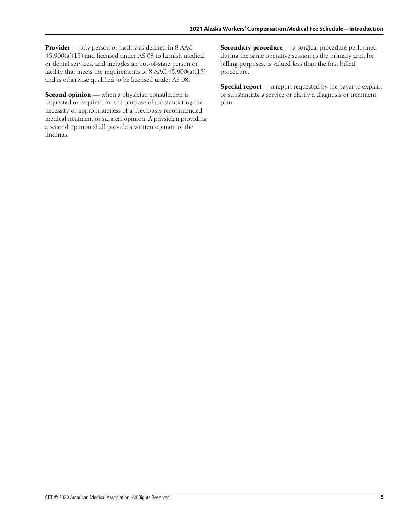**Provider** — any person or facility as defined in 8 AAC 45.900(a)(15) and licensed under AS 08 to furnish medical or dental services, and includes an out-of-state person or facility that meets the requirements of 8 AAC  $45.900(a)(15)$ and is otherwise qualified to be licensed under AS 08.

**Second opinion** — when a physician consultation is requested or required for the purpose of substantiating the necessity or appropriateness of a previously recommended medical treatment or surgical opinion. A physician providing a second opinion shall provide a written opinion of the findings.

**Secondary procedure** — a surgical procedure performed during the same operative session as the primary and, for billing purposes, is valued less than the first billed procedure.

**Special report** — a report requested by the payer to explain or substantiate a service or clarify a diagnosis or treatment plan.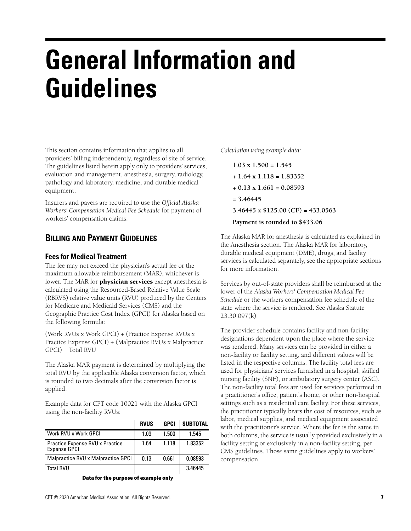## **General Information and Guidelines**

This section contains information that applies to all providers' billing independently, regardless of site of service. The guidelines listed herein apply only to providers' services, evaluation and management, anesthesia, surgery, radiology, pathology and laboratory, medicine, and durable medical equipment.

Insurers and payers are required to use the *Official Alaska Workers' Compensation Medical Fee Schedule* for payment of workers' compensation claims.

## **BILLING AND PAYMENT GUIDELINES**

#### **Fees for Medical Treatment**

The fee may not exceed the physician's actual fee or the maximum allowable reimbursement (MAR), whichever is lower. The MAR for **physician services** except anesthesia is calculated using the Resourced-Based Relative Value Scale (RBRVS) relative value units (RVU) produced by the Centers for Medicare and Medicaid Services (CMS) and the Geographic Practice Cost Index (GPCI) for Alaska based on the following formula:

(Work RVUs x Work GPCI) + (Practice Expense RVUs x Practice Expense GPCI) + (Malpractice RVUs x Malpractice  $GPCI$ ) = Total RVU

The Alaska MAR payment is determined by multiplying the total RVU by the applicable Alaska conversion factor, which is rounded to two decimals after the conversion factor is applied.

Example data for CPT code 10021 with the Alaska GPCI using the non-facility RVUs:

|                                                 | <b>RVUS</b> | <b>GPCI</b> | <b>SUBTOTAL</b> |
|-------------------------------------------------|-------------|-------------|-----------------|
| Work RVU x Work GPCI                            | 1.03        | 1.500       | 1.545           |
| Practice Expense RVU x Practice<br>Expense GPCI | 1.64        | 1.118       | 1.83352         |
| Malpractice RVU x Malpractice GPCI              | 0.13        | 0.661       | 0.08593         |
| <b>Total RVU</b>                                |             |             | 3.46445         |
|                                                 |             |             |                 |

**Data for the purpose of example only**

*Calculation using example data:*

**1.03 x 1.500 = 1.545 + 1.64 x 1.118 = 1.83352 + 0.13 x 1.661 = 0.08593 = 3.46445 3.46445 x \$125.00 (CF) = 433.0563 Payment is rounded to \$433.06**

The Alaska MAR for anesthesia is calculated as explained in the Anesthesia section. The Alaska MAR for laboratory, durable medical equipment (DME), drugs, and facility services is calculated separately, see the appropriate sections for more information.

Services by out-of-state providers shall be reimbursed at the lower of the *Alaska Workers' Compensation Medical Fee Schedule* or the workers compensation fee schedule of the state where the service is rendered. See Alaska Statute 23.30.097(k).

The provider schedule contains facility and non-facility designations dependent upon the place where the service was rendered. Many services can be provided in either a non-facility or facility setting, and different values will be listed in the respective columns. The facility total fees are used for physicians' services furnished in a hospital, skilled nursing facility (SNF), or ambulatory surgery center (ASC). The non-facility total fees are used for services performed in a practitioner's office, patient's home, or other non-hospital settings such as a residential care facility. For these services, the practitioner typically bears the cost of resources, such as labor, medical supplies, and medical equipment associated with the practitioner's service. Where the fee is the same in both columns, the service is usually provided exclusively in a facility setting or exclusively in a non-facility setting, per CMS guidelines. Those same guidelines apply to workers' compensation.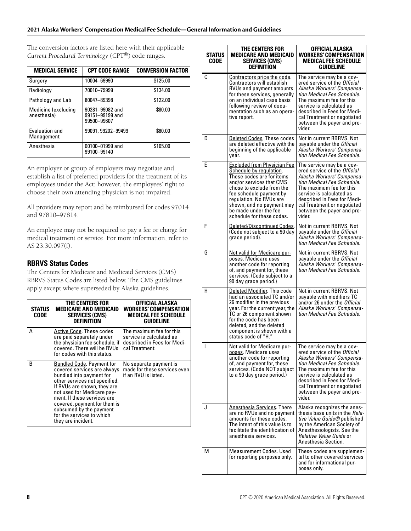#### **2021 Alaska Workers' Compensation Medical Fee Schedule—General Information and Guidelines**

The conversion factors are listed here with their applicable *Current Procedural Terminology* (CPT®) code ranges.

| <b>MEDICAL SERVICE</b>              | <b>CPT CODE RANGE</b>                             | <b>CONVERSION FACTOR</b> |
|-------------------------------------|---------------------------------------------------|--------------------------|
| Surgery                             | 10004-69990                                       | \$125.00                 |
| Radiology                           | 70010-79999                                       | \$134.00                 |
| Pathology and Lab                   | 80047-89398                                       | \$122.00                 |
| Medicine (excluding<br>anesthesia)  | 90281-99082 and<br>99151-99199 and<br>99500-99607 | \$80.00                  |
| <b>Fyaluation and</b><br>Management | 99091, 99202-99499                                | \$80.00                  |
| Anesthesia                          | 00100-01999 and<br>99100-99140                    | \$105.00                 |

An employer or group of employers may negotiate and establish a list of preferred providers for the treatment of its employees under the Act; however, the employees' right to choose their own attending physician is not impaired.

All providers may report and be reimbursed for codes 97014 and 97810–97814.

An employee may not be required to pay a fee or charge for medical treatment or service. For more information, refer to AS 23.30.097(f).

#### **RBRVS Status Codes**

The Centers for Medicare and Medicaid Services (CMS) RBRVS Status Codes are listed below. The CMS guidelines apply except where superseded by Alaska guidelines.

| <b>STATUS</b><br>CODE | THE CENTERS FOR<br><b>MEDICARE AND MEDICAID</b><br><b>SERVICES (CMS)</b><br><b>DEFINITION</b>                                                                                                                                                                                                                                          | OFFICIAL ALASKA<br><b>WORKERS' COMPENSATION</b><br><b>MEDICAL FEE SCHEDULE</b><br>GUIDELINE           |
|-----------------------|----------------------------------------------------------------------------------------------------------------------------------------------------------------------------------------------------------------------------------------------------------------------------------------------------------------------------------------|-------------------------------------------------------------------------------------------------------|
| А                     | Active Code. These codes<br>are paid separately under<br>the physician fee schedule, if<br>covered. There will be RVUs<br>for codes with this status.                                                                                                                                                                                  | The maximum fee for this<br>service is calculated as<br>described in Fees for Medi-<br>cal Treatment. |
| B                     | <b>Bundled Code. Payment for</b><br>covered services are always<br>bundled into payment for<br>other services not specified.<br>If RVUs are shown, they are<br>not used for Medicare pay-<br>ment. If these services are<br>covered, payment for them is<br>subsumed by the payment<br>for the services to which<br>they are incident. | No separate payment is<br>made for these services even<br>if an RVU is listed.                        |

| <b>STATUS</b><br>CODE | THE CENTERS FOR<br><b>MEDICARE AND MEDICAID</b><br><b>SERVICES (CMS)</b><br><b>DEFINITION</b>                                                                                                                                                                                                | OFFICIAL ALASKA<br><b>WORKERS' COMPENSATION</b><br><b>MEDICAL FEE SCHEDULE</b><br><b>GUIDELINE</b>                                                                                                                                                                                 |
|-----------------------|----------------------------------------------------------------------------------------------------------------------------------------------------------------------------------------------------------------------------------------------------------------------------------------------|------------------------------------------------------------------------------------------------------------------------------------------------------------------------------------------------------------------------------------------------------------------------------------|
| С                     | Contractors price the code.<br>Contractors will establish<br>RVUs and payment amounts<br>for these services, generally<br>on an individual case basis<br>following review of docu-<br>mentation such as an opera-<br>tive report.                                                            | The service may be a cov-<br>ered service of the Official<br>Alaska Workers' Compensa-<br>tion Medical Fee Schedule.<br>The maximum fee for this<br>service is calculated as<br>described in Fees for Medi-<br>cal Treatment or negotiated<br>between the payer and pro-<br>vider. |
| D                     | Deleted Codes. These codes<br>are deleted effective with the<br>beginning of the applicable<br>year.                                                                                                                                                                                         | Not in current RBRVS. Not<br>payable under the Official<br>Alaska Workers' Compensa-<br>tion Medical Fee Schedule.                                                                                                                                                                 |
| Е                     | <b>Excluded from Physician Fee</b><br>Schedule by regulation.<br>These codes are for items<br>and/or services that CMS<br>chose to exclude from the<br>fee schedule payment by<br>regulation. No RVUs are<br>shown, and no payment may<br>be made under the fee<br>schedule for these codes. | The service may be a cov-<br>ered service of the Official<br>Alaska Workers' Compensa-<br>tion Medical Fee Schedule.<br>The maximum fee for this<br>service is calculated as<br>described in Fees for Medi-<br>cal Treatment or negotiated<br>between the payer and pro-<br>vider. |
| F                     | Deleted/Discontinued Codes.<br>(Code not subject to a 90 day<br>grace period).                                                                                                                                                                                                               | Not in current RBRVS. Not<br>payable under the Official<br>Alaska Workers' Compensa-<br>tion Medical Fee Schedule.                                                                                                                                                                 |
| G                     | Not valid for Medicare pur-<br>poses. Medicare uses<br>another code for reporting<br>of, and payment for, these<br>services. (Code subject to a<br>90 day grace period.)                                                                                                                     | Not in current RBRVS. Not<br>payable under the Official<br>Alaska Workers' Compensa-<br>tion Medical Fee Schedule.                                                                                                                                                                 |
| н                     | Deleted Modifier. This code<br>had an associated TC and/or<br>26 modifier in the previous<br>year. For the current year, the<br>TC or 26 component shown<br>for the code has been<br>deleted, and the deleted<br>component is shown with a<br>status code of "H."                            | Not in current RBRVS. Not<br>payable with modifiers TC<br>and/or 26 under the <i>Official</i><br>Alaska Workers' Compensa-<br>tion Medical Fee Schedule.                                                                                                                           |
|                       | Not valid for Medicare pur-<br>poses. Medicare uses<br>another code for reporting<br>of, and payment for, these<br>services. (Code NOT subject<br>to a 90 day grace period.)                                                                                                                 | The service may be a cov-<br>ered service of the Official<br>Alaska Workers' Compensa-<br>tion Medical Fee Schedule.<br>The maximum fee for this<br>service is calculated as<br>described in Fees for Medi-<br>cal Treatment or negotiated<br>between the payer and pro-<br>vider. |
| J                     | <b>Anesthesia Services</b> . There<br>are no RVUs and no payment<br>amounts for these codes.<br>The intent of this value is to<br>facilitate the identification of<br>anesthesia services.                                                                                                   | Alaska recognizes the anes-<br>thesia base units in the <i>Rela-</i><br>tive Value Guide® published<br>by the American Society of<br>Anesthesiologists. See the<br>Relative Value Guide or<br>Anesthesia Section.                                                                  |
| М                     | <b>Measurement Codes. Used</b><br>for reporting purposes only.                                                                                                                                                                                                                               | These codes are supplemen-<br>tal to other covered services<br>and for informational pur-<br>poses only.                                                                                                                                                                           |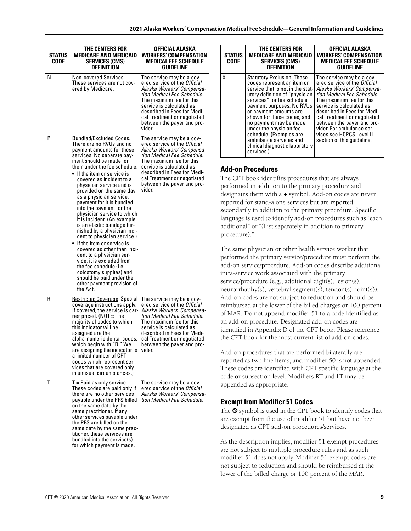| <b>STATUS</b><br>CODE | THE CENTERS FOR<br><b>MEDICARE AND MEDICAID</b><br><b>SERVICES (CMS)</b><br><b>DEFINITION</b>                                                                                                                                                                                                                                                                                                                                                                                                                                                                                                                                                                                                                                                                                                                        | OFFICIAL ALASKA<br><b>WORKERS' COMPENSATION</b><br><b>MEDICAL FEE SCHEDULE</b><br>GUIDELINE                                                                                                                                                                                               |
|-----------------------|----------------------------------------------------------------------------------------------------------------------------------------------------------------------------------------------------------------------------------------------------------------------------------------------------------------------------------------------------------------------------------------------------------------------------------------------------------------------------------------------------------------------------------------------------------------------------------------------------------------------------------------------------------------------------------------------------------------------------------------------------------------------------------------------------------------------|-------------------------------------------------------------------------------------------------------------------------------------------------------------------------------------------------------------------------------------------------------------------------------------------|
| N                     | Non-covered Services.<br>These services are not cov-<br>ered by Medicare.                                                                                                                                                                                                                                                                                                                                                                                                                                                                                                                                                                                                                                                                                                                                            | The service may be a cov-<br>ered service of the <i>Official</i><br>Alaska Workers' Compensa-<br>tion Medical Fee Schedule.<br>The maximum fee for this<br>service is calculated as<br>described in Fees for Medi-<br>cal Treatment or negotiated<br>between the payer and pro-<br>vider. |
| P                     | <u>Bundled/Excluded Codes</u> .<br>There are no RVUs and no<br>payment amounts for these<br>services. No separate pay-<br>ment should be made for<br>them under the fee schedule.<br>$\bullet$ If the item or service is<br>covered as incident to a<br>physician service and is<br>provided on the same day<br>as a physician service,<br>payment for it is bundled<br>into the payment for the<br>physician service to which<br>it is incident. (An example<br>is an elastic bandage fur-<br>nished by a physician inci-<br>dent to physician service.)<br>$\bullet$ If the item or service is<br>covered as other than inci-<br>dent to a physician ser-<br>vice, it is excluded from<br>the fee schedule (i.e.,<br>colostomy supplies) and<br>should be paid under the<br>other payment provision of<br>the Act. | The service may be a cov-<br>ered service of the <i>Official</i><br>Alaska Workers' Compensa-<br>tion Medical Fee Schedule.<br>The maximum fee for this<br>service is calculated as<br>described in Fees for Medi-<br>cal Treatment or negotiated<br>between the payer and pro-<br>vider. |
| R                     | <b>Restricted Coverage. Special</b><br>coverage instructions apply.<br>If covered, the service is car-<br>rier priced. (NOTE: The<br>majority of codes to which<br>this indicator will be<br>assianed are the<br>alpha-numeric dental codes,<br>which begin with "D." We<br>are assigning the indicator to<br>a limited number of CPT<br>codes which represent ser-<br>vices that are covered only<br>in unusual circumstances.)                                                                                                                                                                                                                                                                                                                                                                                     | The service may be a cov-<br>ered service of the <i>Official</i><br>Alaska Workers' Compensa-<br>tion Medical Fee Schedule.<br>The maximum fee for this<br>service is calculated as<br>described in Fees for Medi-<br>cal Treatment or negotiated<br>between the payer and pro-<br>vider. |
| т                     | $T =$ Paid as only service.<br>These codes are paid only if<br>there are no other services<br>payable under the PFS billed<br>on the same date by the<br>same practitioner. If any<br>other services payable under<br>the PFS are billed on the<br>same date by the same prac-<br>titioner, these services are<br>bundled into the service(s)<br>for which payment is made.                                                                                                                                                                                                                                                                                                                                                                                                                                          | The service may be a cov-<br>ered service of the Official<br>Alaska Workers' Compensa-<br>tion Medical Fee Schedule.                                                                                                                                                                      |

| <b>STATUS</b><br><b>CODE</b> | <b>THE CENTERS FOR</b><br><b>MEDICARE AND MEDICAID</b><br><b>SERVICES (CMS)</b><br><b>DEFINITION</b>                                                                                                                                                                                                                                                                                                               | OFFICIAL ALASKA<br><b>WORKERS' COMPENSATION</b><br><b>MEDICAL FEE SCHEDULE</b><br><b>GUIDELINE</b>                                                                                                                                                                                                                                                              |
|------------------------------|--------------------------------------------------------------------------------------------------------------------------------------------------------------------------------------------------------------------------------------------------------------------------------------------------------------------------------------------------------------------------------------------------------------------|-----------------------------------------------------------------------------------------------------------------------------------------------------------------------------------------------------------------------------------------------------------------------------------------------------------------------------------------------------------------|
| χ                            | <b>Statutory Exclusion. These</b><br>codes represent an item or<br>service that is not in the stat-<br>utory definition of "physician<br>services" for fee schedule<br>payment purposes. No RVUs<br>or payment amounts are<br>shown for these codes, and<br>no payment may be made<br>under the physician fee<br>schedule. (Examples are<br>ambulance services and<br>clinical diagnostic laboratory<br>services.) | The service may be a cov-<br>ered service of the Official<br>Alaska Workers' Compensa-<br>tion Medical Fee Schedule.<br>The maximum fee for this<br>service is calculated as<br>described in Fees for Medi-<br>cal Treatment or negotiated<br>between the payer and pro-<br>vider. For ambulance ser-<br>vices see HCPCS Level II<br>section of this quideline. |

#### **Add-on Procedures**

The CPT book identifies procedures that are always performed in addition to the primary procedure and designates them with a + symbol. Add-on codes are never reported for stand-alone services but are reported secondarily in addition to the primary procedure. Specific language is used to identify add-on procedures such as "each additional" or "(List separately in addition to primary procedure)."

The same physician or other health service worker that performed the primary service/procedure must perform the add-on service/procedure. Add-on codes describe additional intra-service work associated with the primary service/procedure (e.g., additional digit(s), lesion(s), neurorrhaphy(s), vertebral segment(s), tendon(s), joint(s)). Add-on codes are not subject to reduction and should be reimbursed at the lower of the billed charges or 100 percent of MAR. Do not append modifier 51 to a code identified as an add-on procedure. Designated add-on codes are identified in Appendix D of the CPT book. Please reference the CPT book for the most current list of add-on codes.

Add-on procedures that are performed bilaterally are reported as two line items, and modifier 50 is not appended. These codes are identified with CPT-specific language at the code or subsection level. Modifiers RT and LT may be appended as appropriate.

#### **Exempt from Modifier 51 Codes**

The  $\odot$  symbol is used in the CPT book to identify codes that are exempt from the use of modifier 51 but have not been designated as CPT add-on procedures/services.

As the description implies, modifier 51 exempt procedures are not subject to multiple procedure rules and as such modifier 51 does not apply. Modifier 51 exempt codes are not subject to reduction and should be reimbursed at the lower of the billed charge or 100 percent of the MAR.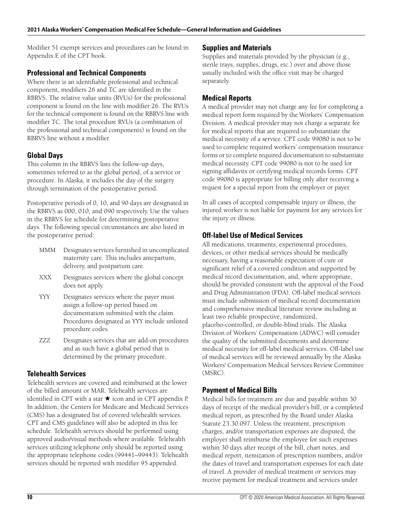Modifier 51 exempt services and procedures can be found in Appendix E of the CPT book.

#### **Professional and Technical Components**

Where there is an identifiable professional and technical component, modifiers 26 and TC are identified in the RBRVS. The relative value units (RVUs) for the professional component is found on the line with modifier 26. The RVUs for the technical component is found on the RBRVS line with modifier TC. The total procedure RVUs (a combination of the professional and technical components) is found on the RBRVS line without a modifier.

#### **Global Days**

This column in the RBRVS lists the follow-up days, sometimes referred to as the global period, of a service or procedure. In Alaska, it includes the day of the surgery through termination of the postoperative period.

Postoperative periods of 0, 10, and 90 days are designated in the RBRVS as 000, 010, and 090 respectively. Use the values in the RBRVS fee schedule for determining postoperative days. The following special circumstances are also listed in the postoperative period:

- MMM Designates services furnished in uncomplicated maternity care. This includes antepartum, delivery, and postpartum care.
- XXX Designates services where the global concept does not apply.
- YYY Designates services where the payer must assign a follow-up period based on documentation submitted with the claim. Procedures designated as YYY include unlisted procedure codes.
- ZZZ Designates services that are add-on procedures and as such have a global period that is determined by the primary procedure.

#### **Telehealth Services**

Telehealth services are covered and reimbursed at the lower of the billed amount or MAR. Telehealth services are identified in CPT with a star  $\star$  icon and in CPT appendix P. In addition, the Centers for Medicare and Medicaid Services (CMS) has a designated list of covered telehealth services. CPT and CMS guidelines will also be adopted in this fee schedule. Telehealth services should be performed using approved audio/visual methods where available. Telehealth services utilizing telephone only should be reported using the appropriate telephone codes (99441–99443). Telehealth services should be reported with modifier 95 appended.

#### **Supplies and Materials**

Supplies and materials provided by the physician (e.g., sterile trays, supplies, drugs, etc.) over and above those usually included with the office visit may be charged separately.

#### **Medical Reports**

A medical provider may not charge any fee for completing a medical report form required by the Workers' Compensation Division. A medical provider may not charge a separate fee for medical reports that are required to substantiate the medical necessity of a service. CPT code 99080 is not to be used to complete required workers' compensation insurance forms or to complete required documentation to substantiate medical necessity. CPT code 99080 is not to be used for signing affidavits or certifying medical records forms. CPT code 99080 is appropriate for billing only after receiving a request for a special report from the employer or payer.

In all cases of accepted compensable injury or illness, the injured worker is not liable for payment for any services for the injury or illness.

#### **Off-label Use of Medical Services**

All medications, treatments, experimental procedures, devices, or other medical services should be medically necessary, having a reasonable expectation of cure or significant relief of a covered condition and supported by medical record documentation, and, where appropriate, should be provided consistent with the approval of the Food and Drug Administration (FDA). Off-label medical services must include submission of medical record documentation and comprehensive medical literature review including at least two reliable prospective, randomized, placebo-controlled, or double-blind trials. The Alaska Division of Workers' Compensation (ADWC) will consider the quality of the submitted documents and determine medical necessity for off-label medical services. Off-label use of medical services will be reviewed annually by the Alaska Workers' Compensation Medical Services Review Committee (MSRC).

#### **Payment of Medical Bills**

Medical bills for treatment are due and payable within 30 days of receipt of the medical provider's bill, or a completed medical report, as prescribed by the Board under Alaska Statute 23.30.097. Unless the treatment, prescription charges, and/or transportation expenses are disputed, the employer shall reimburse the employee for such expenses within 30 days after receipt of the bill, chart notes, and medical report, itemization of prescription numbers, and/or the dates of travel and transportation expenses for each date of travel. A provider of medical treatment or services may receive payment for medical treatment and services under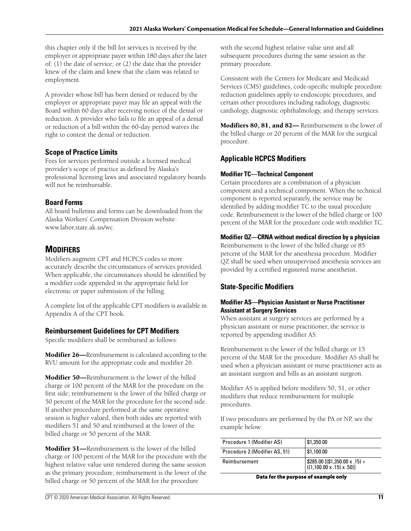this chapter only if the bill for services is received by the employer or appropriate payer within 180 days after the later of: (1) the date of service; or (2) the date that the provider knew of the claim and knew that the claim was related to employment.

A provider whose bill has been denied or reduced by the employer or appropriate payer may file an appeal with the Board within 60 days after receiving notice of the denial or reduction. A provider who fails to file an appeal of a denial or reduction of a bill within the 60-day period waives the right to contest the denial or reduction.

#### **Scope of Practice Limits**

Fees for services performed outside a licensed medical provider's scope of practice as defined by Alaska's professional licensing laws and associated regulatory boards will not be reimbursable.

#### **Board Forms**

All board bulletins and forms can be downloaded from the Alaska Workers' Compensation Division website: www.labor.state.ak.us/wc.

## **MODIFIERS**

Modifiers augment CPT and HCPCS codes to more accurately describe the circumstances of services provided. When applicable, the circumstances should be identified by a modifier code appended in the appropriate field for electronic or paper submission of the billing.

A complete list of the applicable CPT modifiers is available in Appendix A of the CPT book.

#### **Reimbursement Guidelines for CPT Modifiers**

Specific modifiers shall be reimbursed as follows:

**Modifier 26—**Reimbursement is calculated according to the RVU amount for the appropriate code and modifier 26.

**Modifier 50—**Reimbursement is the lower of the billed charge or 100 percent of the MAR for the procedure on the first side; reimbursement is the lower of the billed charge or 50 percent of the MAR for the procedure for the second side. If another procedure performed at the same operative session is higher valued, then both sides are reported with modifiers 51 and 50 and reimbursed at the lower of the billed charge or 50 percent of the MAR.

**Modifier 51—**Reimbursement is the lower of the billed charge or 100 percent of the MAR for the procedure with the highest relative value unit rendered during the same session as the primary procedure; reimbursement is the lower of the billed charge or 50 percent of the MAR for the procedure

primary procedure. Consistent with the Centers for Medicare and Medicaid

Services (CMS) guidelines, code-specific multiple procedure reduction guidelines apply to endoscopic procedures, and certain other procedures including radiology, diagnostic cardiology, diagnostic ophthalmology, and therapy services.

with the second highest relative value unit and all subsequent procedures during the same session as the

**Modifiers 80, 81, and 82—** Reimbursement is the lower of the billed charge or 20 percent of the MAR for the surgical procedure.

## **Applicable HCPCS Modifiers**

#### **Modifier TC—Technical Component**

Certain procedures are a combination of a physician component and a technical component. When the technical component is reported separately, the service may be identified by adding modifier TC to the usual procedure code. Reimbursement is the lower of the billed charge or 100 percent of the MAR for the procedure code with modifier TC.

#### **Modifier QZ—CRNA without medical direction by a physician**

Reimbursement is the lower of the billed charge or 85 percent of the MAR for the anesthesia procedure. Modifier QZ shall be used when unsupervised anesthesia services are provided by a certified registered nurse anesthetist.

## **State-Specific Modifiers**

#### **Modifier AS—Physician Assistant or Nurse Practitioner Assistant at Surgery Services**

When assistant at surgery services are performed by a physician assistant or nurse practitioner, the service is reported by appending modifier AS.

Reimbursement is the lower of the billed charge or 15 percent of the MAR for the procedure. Modifier AS shall be used when a physician assistant or nurse practitioner acts as an assistant surgeon and bills as an assistant surgeon.

Modifier AS is applied before modifiers 50, 51, or other modifiers that reduce reimbursement for multiple procedures.

If two procedures are performed by the PA or NP, see the example below:

| Procedure 1 (Modifier AS)     | \$1,350.00                                                                                                                                  |
|-------------------------------|---------------------------------------------------------------------------------------------------------------------------------------------|
| Procedure 2 (Modifier AS, 51) | \$1,100.00                                                                                                                                  |
| Reimbursement                 | $\left[ \begin{array}{l} $285.00 \left[ ( $1,350.00 \times .15 \right) + \ ((1,100.00 \times .15) \times .50 ) \right] \end{array} \right]$ |

**Data for the purpose of example only**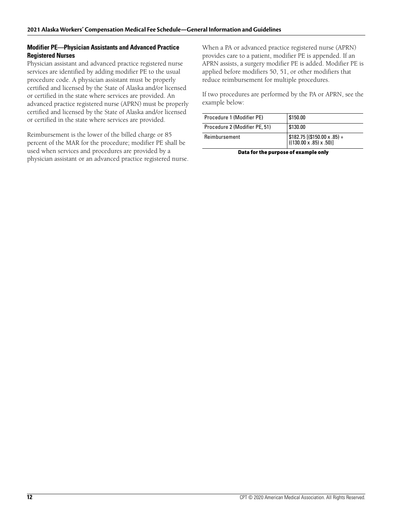#### **Modifier PE—Physician Assistants and Advanced Practice Registered Nurses**

Physician assistant and advanced practice registered nurse services are identified by adding modifier PE to the usual procedure code. A physician assistant must be properly certified and licensed by the State of Alaska and/or licensed or certified in the state where services are provided. An advanced practice registered nurse (APRN) must be properly certified and licensed by the State of Alaska and/or licensed or certified in the state where services are provided.

Reimbursement is the lower of the billed charge or 85 percent of the MAR for the procedure; modifier PE shall be used when services and procedures are provided by a physician assistant or an advanced practice registered nurse. When a PA or advanced practice registered nurse (APRN) provides care to a patient, modifier PE is appended. If an APRN assists, a surgery modifier PE is added. Modifier PE is applied before modifiers 50, 51, or other modifiers that reduce reimbursement for multiple procedures.

If two procedures are performed by the PA or APRN, see the example below:

| Procedure 1 (Modifier PE)     | \$150.00                                                                       |
|-------------------------------|--------------------------------------------------------------------------------|
| Procedure 2 (Modifier PE, 51) | \$130.00                                                                       |
| Reimbursement                 | $\frac{\$182.75}{(\$150.00 \times .85) + (\{130.00 \times .85) \times .50)\}}$ |

**Data for the purpose of example only**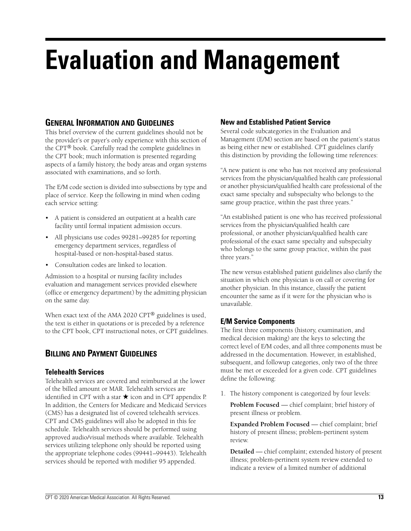## **Evaluation and Management**

## **GENERAL INFORMATION AND GUIDELINES**

This brief overview of the current guidelines should not be the provider's or payer's only experience with this section of the CPT® book. Carefully read the complete guidelines in the CPT book; much information is presented regarding aspects of a family history, the body areas and organ systems associated with examinations, and so forth.

The E/M code section is divided into subsections by type and place of service. Keep the following in mind when coding each service setting:

- A patient is considered an outpatient at a health care facility until formal inpatient admission occurs.
- All physicians use codes 99281–99285 for reporting emergency department services, regardless of hospital-based or non-hospital-based status.
- Consultation codes are linked to location.

Admission to a hospital or nursing facility includes evaluation and management services provided elsewhere (office or emergency department) by the admitting physician on the same day.

When exact text of the AMA 2020 CPT<sup>®</sup> guidelines is used, the text is either in quotations or is preceded by a reference to the CPT book, CPT instructional notes, or CPT guidelines.

## **BILLING AND PAYMENT GUIDELINES**

#### **Telehealth Services**

Telehealth services are covered and reimbursed at the lower of the billed amount or MAR. Telehealth services are identified in CPT with a star  $\star$  icon and in CPT appendix P. In addition, the Centers for Medicare and Medicaid Services (CMS) has a designated list of covered telehealth services. CPT and CMS guidelines will also be adopted in this fee schedule. Telehealth services should be performed using approved audio/visual methods where available. Telehealth services utilizing telephone only should be reported using the appropriate telephone codes (99441–99443). Telehealth services should be reported with modifier 95 appended.

## **New and Established Patient Service**

Several code subcategories in the Evaluation and Management (E/M) section are based on the patient's status as being either new or established. CPT guidelines clarify this distinction by providing the following time references:

"A new patient is one who has not received any professional services from the physician/qualified health care professional or another physician/qualified health care professional of the exact same specialty and subspecialty who belongs to the same group practice, within the past three years."

"An established patient is one who has received professional services from the physician/qualified health care professional, or another physician/qualified health care professional of the exact same specialty and subspecialty who belongs to the same group practice, within the past three years."

The new versus established patient guidelines also clarify the situation in which one physician is on call or covering for another physician. In this instance, classify the patient encounter the same as if it were for the physician who is unavailable.

## **E/M Service Components**

The first three components (history, examination, and medical decision making) are the keys to selecting the correct level of E/M codes, and all three components must be addressed in the documentation. However, in established, subsequent, and followup categories, only two of the three must be met or exceeded for a given code. CPT guidelines define the following:

1. The history component is categorized by four levels:

**Problem Focused** — chief complaint; brief history of present illness or problem.

**Expanded Problem Focused** — chief complaint; brief history of present illness; problem-pertinent system review.

**Detailed** — chief complaint; extended history of present illness; problem-pertinent system review extended to indicate a review of a limited number of additional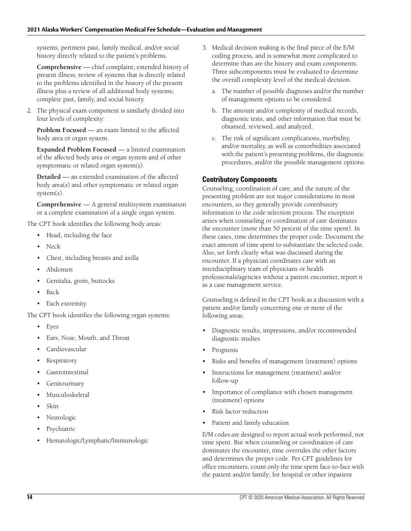systems; pertinent past, family medical, and/or social history directly related to the patient's problems.

**Comprehensive** — chief complaint; extended history of present illness; review of systems that is directly related to the problems identified in the history of the present illness plus a review of all additional body systems; complete past, family, and social history.

2. The physical exam component is similarly divided into four levels of complexity:

**Problem Focused** — an exam limited to the affected body area or organ system.

**Expanded Problem Focused** — a limited examination of the affected body area or organ system and of other symptomatic or related organ system(s).

**Detailed** — an extended examination of the affected body area(s) and other symptomatic or related organ system(s).

**Comprehensive** — A general multisystem examination or a complete examination of a single organ system.

The CPT book identifies the following body areas:

- Head, including the face
- Neck
- Chest, including breasts and axilla
- Abdomen
- Genitalia, groin, buttocks
- Back
- Each extremity

The CPT book identifies the following organ systems:

- Eyes
- Ears, Nose, Mouth, and Throat
- Cardiovascular
- **Respiratory**
- **Gastrointestinal**
- **Genitourinary**
- Musculoskeletal
- Skin
- Neurologic
- **Psychiatric**
- Hematologic/Lymphatic/Immunologic
- 3. Medical decision making is the final piece of the E/M coding process, and is somewhat more complicated to determine than are the history and exam components. Three subcomponents must be evaluated to determine the overall complexity level of the medical decision.
	- a. The number of possible diagnoses and/or the number of management options to be considered.
	- b. The amount and/or complexity of medical records, diagnostic tests, and other information that must be obtained, reviewed, and analyzed.
	- c. The risk of significant complications, morbidity, and/or mortality, as well as comorbidities associated with the patient's presenting problems, the diagnostic procedures, and/or the possible management options.

#### **Contributory Components**

Counseling, coordination of care, and the nature of the presenting problem are not major considerations in most encounters, so they generally provide contributory information to the code selection process. The exception arises when counseling or coordination of care dominates the encounter (more than 50 percent of the time spent). In these cases, time determines the proper code. Document the exact amount of time spent to substantiate the selected code. Also, set forth clearly what was discussed during the encounter. If a physician coordinates care with an interdisciplinary team of physicians or health professionals/agencies without a patient encounter, report it as a case management service.

Counseling is defined in the CPT book as a discussion with a patient and/or family concerning one or more of the following areas:

- Diagnostic results, impressions, and/or recommended diagnostic studies
- **Prognosis**
- Risks and benefits of management (treatment) options
- Instructions for management (treatment) and/or follow-up
- Importance of compliance with chosen management (treatment) options
- Risk factor reduction
- Patient and family education

E/M codes are designed to report actual work performed, not time spent. But when counseling or coordination of care dominates the encounter, time overrides the other factors and determines the proper code. Per CPT guidelines for office encounters, count only the time spent face-to-face with the patient and/or family; for hospital or other inpatient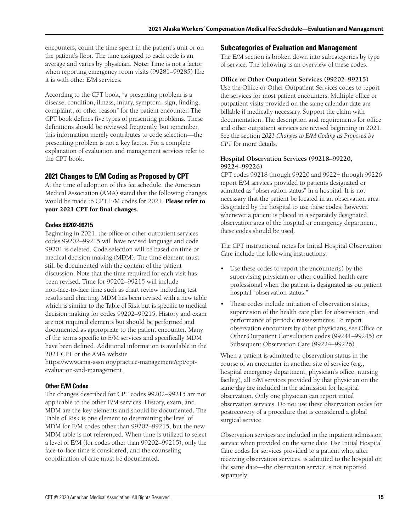encounters, count the time spent in the patient's unit or on the patient's floor. The time assigned to each code is an average and varies by physician. **Note:** Time is not a factor when reporting emergency room visits (99281–99285) like it is with other E/M services.

According to the CPT book, "a presenting problem is a disease, condition, illness, injury, symptom, sign, finding, complaint, or other reason" for the patient encounter. The CPT book defines five types of presenting problems. These definitions should be reviewed frequently, but remember, this information merely contributes to code selection—the presenting problem is not a key factor. For a complete explanation of evaluation and management services refer to the CPT book.

#### **2021 Changes to E/M Coding as Proposed by CPT**

At the time of adoption of this fee schedule, the American Medical Association (AMA) stated that the following changes would be made to CPT E/M codes for 2021. **Please refer to your 2021 CPT for final changes.**

#### **Codes 99202-99215**

Beginning in 2021, the office or other outpatient services codes 99202–99215 will have revised language and code 99201 is deleted. Code selection will be based on time or medical decision making (MDM). The time element must still be documented with the content of the patient discussion. Note that the time required for each visit has been revised. Time for 99202–99215 will include non-face-to-face time such as chart review including test results and charting. MDM has been revised with a new table which is similar to the Table of Risk but is specific to medical decision making for codes 99202–99215. History and exam are not required elements but should be performed and documented as appropriate to the patient encounter. Many of the terms specific to E/M services and specifically MDM have been defined. Additional information is available in the 2021 CPT or the AMA website

https://www.ama-assn.org/practice-management/cpt/cptevaluation-and-management.

#### **Other E/M Codes**

The changes described for CPT codes 99202–99215 are not applicable to the other E/M services. History, exam, and MDM are the key elements and should be documented. The Table of Risk is one element to determining the level of MDM for E/M codes other than 99202–99215, but the new MDM table is not referenced. When time is utilized to select a level of E/M (for codes other than 99202–99215), only the face-to-face time is considered, and the counseling coordination of care must be documented.

#### **Subcategories of Evaluation and Management**

The E/M section is broken down into subcategories by type of service. The following is an overview of these codes.

#### **Office or Other Outpatient Services (99202–99215)**

Use the Office or Other Outpatient Services codes to report the services for most patient encounters. Multiple office or outpatient visits provided on the same calendar date are billable if medically necessary. Support the claim with documentation. The description and requirements for office and other outpatient services are revised beginning in 2021. See the section *2021 Changes to E/M Coding as Proposed by CPT* for more details.

#### **Hospital Observation Services (99218–99220, 99224–99226)**

CPT codes 99218 through 99220 and 99224 through 99226 report E/M services provided to patients designated or admitted as "observation status" in a hospital. It is not necessary that the patient be located in an observation area designated by the hospital to use these codes; however, whenever a patient is placed in a separately designated observation area of the hospital or emergency department, these codes should be used.

The CPT instructional notes for Initial Hospital Observation Care include the following instructions:

- Use these codes to report the encounter(s) by the supervising physician or other qualified health care professional when the patient is designated as outpatient hospital "observation status."
- These codes include initiation of observation status, supervision of the health care plan for observation, and performance of periodic reassessments. To report observation encounters by other physicians, see Office or Other Outpatient Consultation codes (99241–99245) or Subsequent Observation Care (99224–99226).

When a patient is admitted to observation status in the course of an encounter in another site of service (e.g., hospital emergency department, physician's office, nursing facility), all E/M services provided by that physician on the same day are included in the admission for hospital observation. Only one physician can report initial observation services. Do not use these observation codes for postrecovery of a procedure that is considered a global surgical service.

Observation services are included in the inpatient admission service when provided on the same date. Use Initial Hospital Care codes for services provided to a patient who, after receiving observation services, is admitted to the hospital on the same date—the observation service is not reported separately.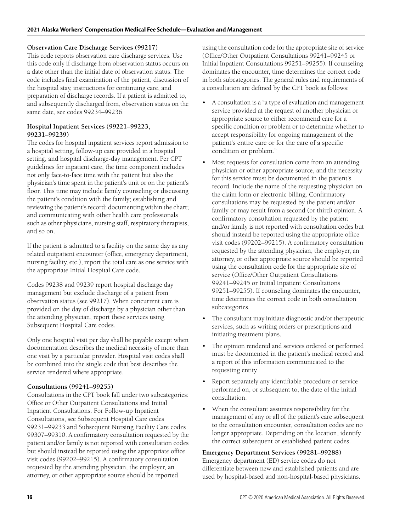#### **Observation Care Discharge Services (99217)**

This code reports observation care discharge services. Use this code only if discharge from observation status occurs on a date other than the initial date of observation status. The code includes final examination of the patient, discussion of the hospital stay, instructions for continuing care, and preparation of discharge records. If a patient is admitted to, and subsequently discharged from, observation status on the same date, see codes 99234–99236.

#### **Hospital Inpatient Services (99221–99223, 99231–99239)**

The codes for hospital inpatient services report admission to a hospital setting, follow-up care provided in a hospital setting, and hospital discharge-day management. Per CPT guidelines for inpatient care, the time component includes not only face-to-face time with the patient but also the physician's time spent in the patient's unit or on the patient's floor. This time may include family counseling or discussing the patient's condition with the family; establishing and reviewing the patient's record; documenting within the chart; and communicating with other health care professionals such as other physicians, nursing staff, respiratory therapists, and so on.

If the patient is admitted to a facility on the same day as any related outpatient encounter (office, emergency department, nursing facility, etc.), report the total care as one service with the appropriate Initial Hospital Care code.

Codes 99238 and 99239 report hospital discharge day management but exclude discharge of a patient from observation status (see 99217). When concurrent care is provided on the day of discharge by a physician other than the attending physician, report these services using Subsequent Hospital Care codes.

Only one hospital visit per day shall be payable except when documentation describes the medical necessity of more than one visit by a particular provider. Hospital visit codes shall be combined into the single code that best describes the service rendered where appropriate.

#### **Consultations (99241–99255)**

Consultations in the CPT book fall under two subcategories: Office or Other Outpatient Consultations and Initial Inpatient Consultations. For Follow-up Inpatient Consultations, see Subsequent Hospital Care codes 99231–99233 and Subsequent Nursing Facility Care codes 99307–99310. A confirmatory consultation requested by the patient and/or family is not reported with consultation codes but should instead be reported using the appropriate office visit codes (99202–99215). A confirmatory consultation requested by the attending physician, the employer, an attorney, or other appropriate source should be reported

using the consultation code for the appropriate site of service (Office/Other Outpatient Consultations 99241–99245 or Initial Inpatient Consultations 99251–99255). If counseling dominates the encounter, time determines the correct code in both subcategories. The general rules and requirements of a consultation are defined by the CPT book as follows:

- A consultation is a "a type of evaluation and management service provided at the request of another physician or appropriate source to either recommend care for a specific condition or problem or to determine whether to accept responsibility for ongoing management of the patient's entire care or for the care of a specific condition or problem."
- Most requests for consultation come from an attending physician or other appropriate source, and the necessity for this service must be documented in the patient's record. Include the name of the requesting physician on the claim form or electronic billing. Confirmatory consultations may be requested by the patient and/or family or may result from a second (or third) opinion. A confirmatory consultation requested by the patient and/or family is not reported with consultation codes but should instead be reported using the appropriate office visit codes (99202–99215). A confirmatory consultation requested by the attending physician, the employer, an attorney, or other appropriate source should be reported using the consultation code for the appropriate site of service (Office/Other Outpatient Consultations 99241–99245 or Initial Inpatient Consultations 99251–99255). If counseling dominates the encounter, time determines the correct code in both consultation subcategories.
- The consultant may initiate diagnostic and/or therapeutic services, such as writing orders or prescriptions and initiating treatment plans.
- The opinion rendered and services ordered or performed must be documented in the patient's medical record and a report of this information communicated to the requesting entity.
- Report separately any identifiable procedure or service performed on, or subsequent to, the date of the initial consultation.
- When the consultant assumes responsibility for the management of any or all of the patient's care subsequent to the consultation encounter, consultation codes are no longer appropriate. Depending on the location, identify the correct subsequent or established patient codes.

#### **Emergency Department Services (99281–99288)**

Emergency department (ED) service codes do not differentiate between new and established patients and are used by hospital-based and non-hospital-based physicians.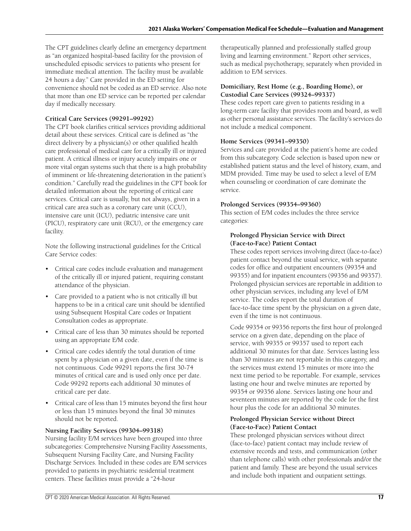The CPT guidelines clearly define an emergency department as "an organized hospital-based facility for the provision of unscheduled episodic services to patients who present for immediate medical attention. The facility must be available 24 hours a day." Care provided in the ED setting for convenience should not be coded as an ED service. Also note that more than one ED service can be reported per calendar day if medically necessary.

#### **Critical Care Services (99291–99292)**

The CPT book clarifies critical services providing additional detail about these services. Critical care is defined as "the direct delivery by a physician(s) or other qualified health care professional of medical care for a critically ill or injured patient. A critical illness or injury acutely impairs one or more vital organ systems such that there is a high probability of imminent or life-threatening deterioration in the patient's condition." Carefully read the guidelines in the CPT book for detailed information about the reporting of critical care services. Critical care is usually, but not always, given in a critical care area such as a coronary care unit (CCU), intensive care unit (ICU), pediatric intensive care unit (PICU), respiratory care unit (RCU), or the emergency care facility.

Note the following instructional guidelines for the Critical Care Service codes:

- Critical care codes include evaluation and management of the critically ill or injured patient, requiring constant attendance of the physician.
- Care provided to a patient who is not critically ill but happens to be in a critical care unit should be identified using Subsequent Hospital Care codes or Inpatient Consultation codes as appropriate.
- Critical care of less than 30 minutes should be reported using an appropriate E/M code.
- Critical care codes identify the total duration of time spent by a physician on a given date, even if the time is not continuous. Code 99291 reports the first 30-74 minutes of critical care and is used only once per date. Code 99292 reports each additional 30 minutes of critical care per date.
- Critical care of less than 15 minutes beyond the first hour or less than 15 minutes beyond the final 30 minutes should not be reported.

#### **Nursing Facility Services (99304–99318)**

Nursing facility E/M services have been grouped into three subcategories: Comprehensive Nursing Facility Assessments, Subsequent Nursing Facility Care, and Nursing Facility Discharge Services. Included in these codes are E/M services provided to patients in psychiatric residential treatment centers. These facilities must provide a "24-hour

therapeutically planned and professionally staffed group living and learning environment." Report other services, such as medical psychotherapy, separately when provided in addition to E/M services.

#### **Domiciliary, Rest Home (e.g., Boarding Home), or Custodial Care Services (99324–99337)**

These codes report care given to patients residing in a long-term care facility that provides room and board, as well as other personal assistance services. The facility's services do not include a medical component.

#### **Home Services (99341–99350)**

Services and care provided at the patient's home are coded from this subcategory. Code selection is based upon new or established patient status and the level of history, exam, and MDM provided. Time may be used to select a level of E/M when counseling or coordination of care dominate the service.

#### **Prolonged Services (99354–99360)**

This section of E/M codes includes the three service categories:

#### **Prolonged Physician Service with Direct (Face-to-Face) Patient Contact**

These codes report services involving direct (face-to-face) patient contact beyond the usual service, with separate codes for office and outpatient encounters (99354 and 99355) and for inpatient encounters (99356 and 99357). Prolonged physician services are reportable in addition to other physician services, including any level of E/M service. The codes report the total duration of face-to-face time spent by the physician on a given date, even if the time is not continuous.

Code 99354 or 99356 reports the first hour of prolonged service on a given date, depending on the place of service, with 99355 or 99357 used to report each additional 30 minutes for that date. Services lasting less than 30 minutes are not reportable in this category, and the services must extend 15 minutes or more into the next time period to be reportable. For example, services lasting one hour and twelve minutes are reported by 99354 or 99356 alone. Services lasting one hour and seventeen minutes are reported by the code for the first hour plus the code for an additional 30 minutes.

#### **Prolonged Physician Service without Direct (Face-to-Face) Patient Contact**

These prolonged physician services without direct (face-to-face) patient contact may include review of extensive records and tests, and communication (other than telephone calls) with other professionals and/or the patient and family. These are beyond the usual services and include both inpatient and outpatient settings.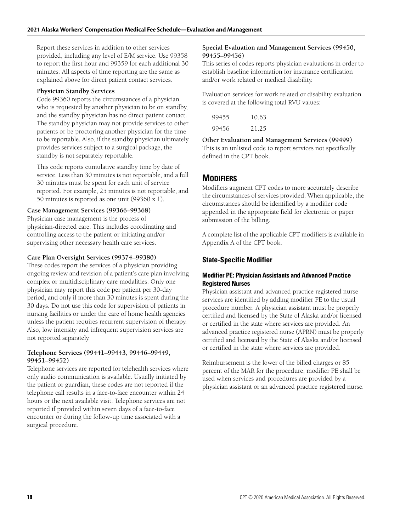Report these services in addition to other services provided, including any level of E/M service. Use 99358 to report the first hour and 99359 for each additional 30 minutes. All aspects of time reporting are the same as explained above for direct patient contact services.

#### **Physician Standby Services**

Code 99360 reports the circumstances of a physician who is requested by another physician to be on standby, and the standby physician has no direct patient contact. The standby physician may not provide services to other patients or be proctoring another physician for the time to be reportable. Also, if the standby physician ultimately provides services subject to a surgical package, the standby is not separately reportable.

This code reports cumulative standby time by date of service. Less than 30 minutes is not reportable, and a full 30 minutes must be spent for each unit of service reported. For example, 25 minutes is not reportable, and 50 minutes is reported as one unit (99360 x 1).

#### **Case Management Services (99366–99368)**

Physician case management is the process of physician-directed care. This includes coordinating and controlling access to the patient or initiating and/or supervising other necessary health care services.

#### **Care Plan Oversight Services (99374–99380)**

These codes report the services of a physician providing ongoing review and revision of a patient's care plan involving complex or multidisciplinary care modalities. Only one physician may report this code per patient per 30-day period, and only if more than 30 minutes is spent during the 30 days. Do not use this code for supervision of patients in nursing facilities or under the care of home health agencies unless the patient requires recurrent supervision of therapy. Also, low intensity and infrequent supervision services are not reported separately.

#### **Telephone Services (99441–99443, 99446–99449, 99451–99452)**

Telephone services are reported for telehealth services where only audio communication is available. Usually initiated by the patient or guardian, these codes are not reported if the telephone call results in a face-to-face encounter within 24 hours or the next available visit. Telephone services are not reported if provided within seven days of a face-to-face encounter or during the follow-up time associated with a surgical procedure.

#### **Special Evaluation and Management Services (99450, 99455–99456)**

This series of codes reports physician evaluations in order to establish baseline information for insurance certification and/or work related or medical disability.

Evaluation services for work related or disability evaluation is covered at the following total RVU values:

| 99455 | 10.63 |
|-------|-------|
| 99456 | 21.25 |

**Other Evaluation and Management Services (99499)** This is an unlisted code to report services not specifically defined in the CPT book.

## **MODIFIERS**

Modifiers augment CPT codes to more accurately describe the circumstances of services provided. When applicable, the circumstances should be identified by a modifier code appended in the appropriate field for electronic or paper submission of the billing.

A complete list of the applicable CPT modifiers is available in Appendix A of the CPT book.

## **State-Specific Modifier**

#### **Modifier PE: Physician Assistants and Advanced Practice Registered Nurses**

Physician assistant and advanced practice registered nurse services are identified by adding modifier PE to the usual procedure number. A physician assistant must be properly certified and licensed by the State of Alaska and/or licensed or certified in the state where services are provided. An advanced practice registered nurse (APRN) must be properly certified and licensed by the State of Alaska and/or licensed or certified in the state where services are provided.

Reimbursement is the lower of the billed charges or 85 percent of the MAR for the procedure; modifier PE shall be used when services and procedures are provided by a physician assistant or an advanced practice registered nurse.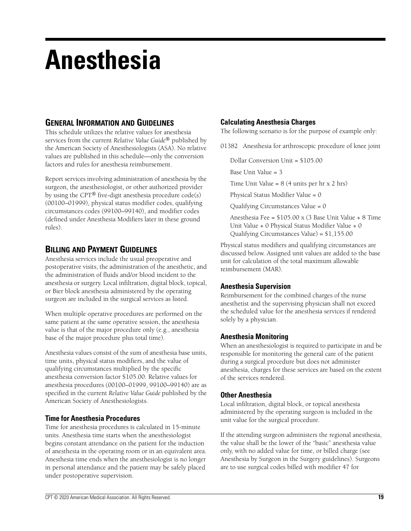## **Anesthesia**

## **GENERAL INFORMATION AND GUIDELINES**

This schedule utilizes the relative values for anesthesia services from the current *Relative Value Guide*® published by the American Society of Anesthesiologists (ASA). No relative values are published in this schedule—only the conversion factors and rules for anesthesia reimbursement.

Report services involving administration of anesthesia by the surgeon, the anesthesiologist, or other authorized provider by using the CPT® five-digit anesthesia procedure code(s) (00100–01999), physical status modifier codes, qualifying circumstances codes (99100–99140), and modifier codes (defined under Anesthesia Modifiers later in these ground rules).

## **BILLING AND PAYMENT GUIDELINES**

Anesthesia services include the usual preoperative and postoperative visits, the administration of the anesthetic, and the administration of fluids and/or blood incident to the anesthesia or surgery. Local infiltration, digital block, topical, or Bier block anesthesia administered by the operating surgeon are included in the surgical services as listed.

When multiple operative procedures are performed on the same patient at the same operative session, the anesthesia value is that of the major procedure only (e.g., anesthesia base of the major procedure plus total time).

Anesthesia values consist of the sum of anesthesia base units, time units, physical status modifiers, and the value of qualifying circumstances multiplied by the specific anesthesia conversion factor \$105.00. Relative values for anesthesia procedures (00100–01999, 99100–99140) are as specified in the current *Relative Value Guide* published by the American Society of Anesthesiologists.

#### **Time for Anesthesia Procedures**

Time for anesthesia procedures is calculated in 15-minute units. Anesthesia time starts when the anesthesiologist begins constant attendance on the patient for the induction of anesthesia in the operating room or in an equivalent area. Anesthesia time ends when the anesthesiologist is no longer in personal attendance and the patient may be safely placed under postoperative supervision.

### **Calculating Anesthesia Charges**

The following scenario is for the purpose of example only:

01382 Anesthesia for arthroscopic procedure of knee joint

Dollar Conversion Unit = \$105.00

Base Unit Value = 3

Time Unit Value =  $8(4 \text{ units per hr x } 2 \text{ hrs})$ 

Physical Status Modifier Value = 0

Qualifying Circumstances Value = 0

Anesthesia Fee = \$105.00 x (3 Base Unit Value + 8 Time Unit Value + 0 Physical Status Modifier Value + 0 Qualifying Circumstances Value) = \$1,155.00

Physical status modifiers and qualifying circumstances are discussed below. Assigned unit values are added to the base unit for calculation of the total maximum allowable reimbursement (MAR).

#### **Anesthesia Supervision**

Reimbursement for the combined charges of the nurse anesthetist and the supervising physician shall not exceed the scheduled value for the anesthesia services if rendered solely by a physician.

#### **Anesthesia Monitoring**

When an anesthesiologist is required to participate in and be responsible for monitoring the general care of the patient during a surgical procedure but does not administer anesthesia, charges for these services are based on the extent of the services rendered.

#### **Other Anesthesia**

Local infiltration, digital block, or topical anesthesia administered by the operating surgeon is included in the unit value for the surgical procedure.

If the attending surgeon administers the regional anesthesia, the value shall be the lower of the "basic" anesthesia value only, with no added value for time, or billed charge (see Anesthesia by Surgeon in the Surgery guidelines). Surgeons are to use surgical codes billed with modifier 47 for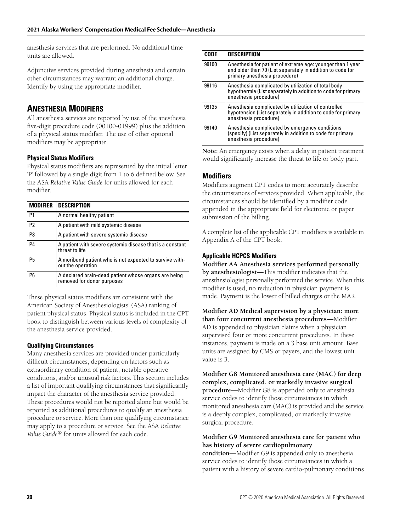anesthesia services that are performed. No additional time units are allowed.

Adjunctive services provided during anesthesia and certain other circumstances may warrant an additional charge. Identify by using the appropriate modifier.

## **ANESTHESIA MODIFIERS**

All anesthesia services are reported by use of the anesthesia five-digit procedure code (00100-01999) plus the addition of a physical status modifier. The use of other optional modifiers may be appropriate.

#### **Physical Status Modifiers**

Physical status modifiers are represented by the initial letter 'P' followed by a single digit from 1 to 6 defined below. See the ASA *Relative Value Guide* for units allowed for each modifier.

| <b>MODIFIER</b> | <b>DESCRIPTION</b>                                                                 |
|-----------------|------------------------------------------------------------------------------------|
| P <sub>1</sub>  | A normal healthy patient                                                           |
| P <sub>2</sub>  | A patient with mild systemic disease                                               |
| P <sub>3</sub>  | A patient with severe systemic disease                                             |
| P <sub>4</sub>  | A patient with severe systemic disease that is a constant<br>threat to life        |
| <b>P5</b>       | A moribund patient who is not expected to survive with-<br>out the operation       |
| P <sub>6</sub>  | A declared brain-dead patient whose organs are being<br>removed for donor purposes |

These physical status modifiers are consistent with the American Society of Anesthesiologists' (ASA) ranking of patient physical status. Physical status is included in the CPT book to distinguish between various levels of complexity of the anesthesia service provided.

#### **Qualifying Circumstances**

Many anesthesia services are provided under particularly difficult circumstances, depending on factors such as extraordinary condition of patient, notable operative conditions, and/or unusual risk factors. This section includes a list of important qualifying circumstances that significantly impact the character of the anesthesia service provided. These procedures would not be reported alone but would be reported as additional procedures to qualify an anesthesia procedure or service. More than one qualifying circumstance may apply to a procedure or service. See the ASA *Relative Value Guide®* for units allowed for each code.

| <b>CODE</b> | <b>DESCRIPTION</b>                                                                                                                                        |
|-------------|-----------------------------------------------------------------------------------------------------------------------------------------------------------|
| 99100       | Anesthesia for patient of extreme age: younger than 1 year<br>and older than 70 (List separately in addition to code for<br>primary anesthesia procedure) |
| 99116       | Anesthesia complicated by utilization of total body<br>hypothermia (List separately in addition to code for primary<br>anesthesia procedure)              |
| 99135       | Anesthesia complicated by utilization of controlled<br>hypotension (List separately in addition to code for primary<br>anesthesia procedure)              |
| 99140       | Anesthesia complicated by emergency conditions<br>(specify) (List separately in addition to code for primary<br>anesthesia procedure)                     |

**Note:** An emergency exists when a delay in patient treatment would significantly increase the threat to life or body part.

#### **Modifiers**

Modifiers augment CPT codes to more accurately describe the circumstances of services provided. When applicable, the circumstances should be identified by a modifier code appended in the appropriate field for electronic or paper submission of the billing.

A complete list of the applicable CPT modifiers is available in Appendix A of the CPT book.

#### **Applicable HCPCS Modifiers**

**Modifier AA Anesthesia services performed personally by anesthesiologist—**This modifier indicates that the anesthesiologist personally performed the service. When this modifier is used, no reduction in physician payment is made. Payment is the lower of billed charges or the MAR.

**Modifier AD Medical supervision by a physician: more than four concurrent anesthesia procedures—**Modifier AD is appended to physician claims when a physician supervised four or more concurrent procedures. In these instances, payment is made on a 3 base unit amount. Base units are assigned by CMS or payers, and the lowest unit value is 3.

**Modifier G8 Monitored anesthesia care (MAC) for deep complex, complicated, or markedly invasive surgical procedure—**Modifier G8 is appended only to anesthesia service codes to identify those circumstances in which monitored anesthesia care (MAC) is provided and the service is a deeply complex, complicated, or markedly invasive surgical procedure.

#### **Modifier G9 Monitored anesthesia care for patient who has history of severe cardiopulmonary**

**condition—**Modifier G9 is appended only to anesthesia service codes to identify those circumstances in which a patient with a history of severe cardio-pulmonary conditions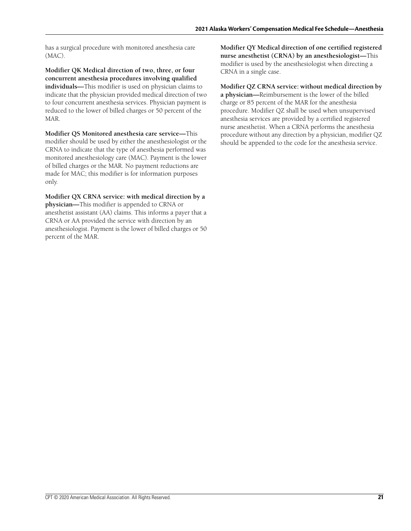has a surgical procedure with monitored anesthesia care (MAC).

**Modifier QK Medical direction of two, three, or four concurrent anesthesia procedures involving qualified individuals—**This modifier is used on physician claims to indicate that the physician provided medical direction of two to four concurrent anesthesia services. Physician payment is reduced to the lower of billed charges or 50 percent of the MAR.

**Modifier QS Monitored anesthesia care service—**This modifier should be used by either the anesthesiologist or the CRNA to indicate that the type of anesthesia performed was monitored anesthesiology care (MAC). Payment is the lower of billed charges or the MAR. No payment reductions are made for MAC; this modifier is for information purposes only.

**Modifier QX CRNA service: with medical direction by a physician—**This modifier is appended to CRNA or anesthetist assistant (AA) claims. This informs a payer that a CRNA or AA provided the service with direction by an anesthesiologist. Payment is the lower of billed charges or 50 percent of the MAR.

**Modifier QY Medical direction of one certified registered nurse anesthetist (CRNA) by an anesthesiologist—**This modifier is used by the anesthesiologist when directing a CRNA in a single case.

**Modifier QZ CRNA service: without medical direction by a physician—**Reimbursement is the lower of the billed charge or 85 percent of the MAR for the anesthesia procedure. Modifier QZ shall be used when unsupervised anesthesia services are provided by a certified registered nurse anesthetist. When a CRNA performs the anesthesia procedure without any direction by a physician, modifier QZ should be appended to the code for the anesthesia service.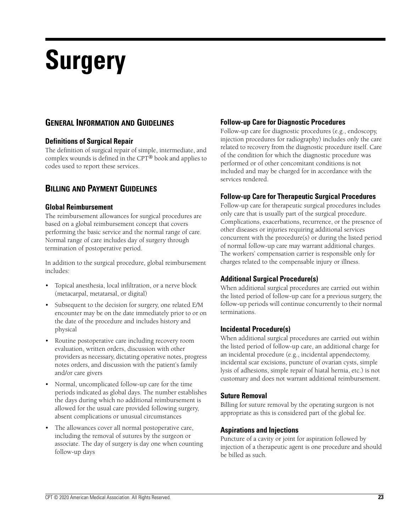# **Surgery**

## **GENERAL INFORMATION AND GUIDELINES**

#### **Definitions of Surgical Repair**

The definition of surgical repair of simple, intermediate, and complex wounds is defined in the CPT® book and applies to codes used to report these services.

## **BILLING AND PAYMENT GUIDELINES**

#### **Global Reimbursement**

The reimbursement allowances for surgical procedures are based on a global reimbursement concept that covers performing the basic service and the normal range of care. Normal range of care includes day of surgery through termination of postoperative period.

In addition to the surgical procedure, global reimbursement includes:

- Topical anesthesia, local infiltration, or a nerve block (metacarpal, metatarsal, or digital)
- Subsequent to the decision for surgery, one related E/M encounter may be on the date immediately prior to or on the date of the procedure and includes history and physical
- Routine postoperative care including recovery room evaluation, written orders, discussion with other providers as necessary, dictating operative notes, progress notes orders, and discussion with the patient's family and/or care givers
- Normal, uncomplicated follow-up care for the time periods indicated as global days. The number establishes the days during which no additional reimbursement is allowed for the usual care provided following surgery, absent complications or unusual circumstances
- The allowances cover all normal postoperative care, including the removal of sutures by the surgeon or associate. The day of surgery is day one when counting follow-up days

#### **Follow-up Care for Diagnostic Procedures**

Follow-up care for diagnostic procedures (e.g., endoscopy, injection procedures for radiography) includes only the care related to recovery from the diagnostic procedure itself. Care of the condition for which the diagnostic procedure was performed or of other concomitant conditions is not included and may be charged for in accordance with the services rendered.

#### **Follow-up Care for Therapeutic Surgical Procedures**

Follow-up care for therapeutic surgical procedures includes only care that is usually part of the surgical procedure. Complications, exacerbations, recurrence, or the presence of other diseases or injuries requiring additional services concurrent with the procedure(s) or during the listed period of normal follow-up care may warrant additional charges. The workers' compensation carrier is responsible only for charges related to the compensable injury or illness.

#### **Additional Surgical Procedure(s)**

When additional surgical procedures are carried out within the listed period of follow-up care for a previous surgery, the follow-up periods will continue concurrently to their normal terminations.

#### **Incidental Procedure(s)**

When additional surgical procedures are carried out within the listed period of follow-up care, an additional charge for an incidental procedure (e.g., incidental appendectomy, incidental scar excisions, puncture of ovarian cysts, simple lysis of adhesions, simple repair of hiatal hernia, etc.) is not customary and does not warrant additional reimbursement.

#### **Suture Removal**

Billing for suture removal by the operating surgeon is not appropriate as this is considered part of the global fee.

#### **Aspirations and Injections**

Puncture of a cavity or joint for aspiration followed by injection of a therapeutic agent is one procedure and should be billed as such.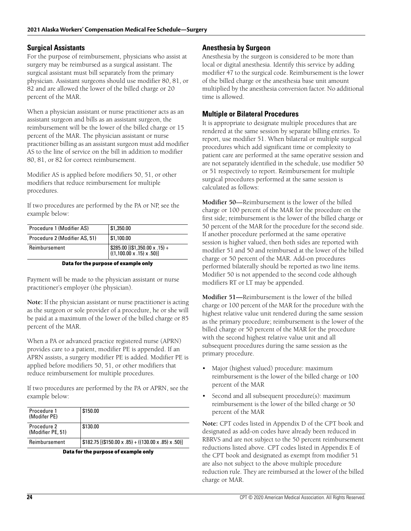#### **Surgical Assistants**

For the purpose of reimbursement, physicians who assist at surgery may be reimbursed as a surgical assistant. The surgical assistant must bill separately from the primary physician. Assistant surgeons should use modifier 80, 81, or 82 and are allowed the lower of the billed charge or 20 percent of the MAR.

When a physician assistant or nurse practitioner acts as an assistant surgeon and bills as an assistant surgeon, the reimbursement will be the lower of the billed charge or 15 percent of the MAR. The physician assistant or nurse practitioner billing as an assistant surgeon must add modifier AS to the line of service on the bill in addition to modifier 80, 81, or 82 for correct reimbursement.

Modifier AS is applied before modifiers 50, 51, or other modifiers that reduce reimbursement for multiple procedures.

If two procedures are performed by the PA or NP, see the example below:

| Procedure 1 (Modifier AS)     | \$1,350.00                                                                                                                                               |
|-------------------------------|----------------------------------------------------------------------------------------------------------------------------------------------------------|
| Procedure 2 (Modifier AS, 51) | \$1,100.00                                                                                                                                               |
| Reimbursement                 | $\left[ \begin{array}{l} $285.00 \left[ ( $1,350.00 \times .15 \right) + \ \left( (1,100.00 \times .15 \right) \times .50 \right) ] \end{array} \right]$ |

#### **Data for the purpose of example only**

Payment will be made to the physician assistant or nurse practitioner's employer (the physician).

**Note:** If the physician assistant or nurse practitioner is acting as the surgeon or sole provider of a procedure, he or she will be paid at a maximum of the lower of the billed charge or 85 percent of the MAR.

When a PA or advanced practice registered nurse (APRN) provides care to a patient, modifier PE is appended. If an APRN assists, a surgery modifier PE is added. Modifier PE is applied before modifiers 50, 51, or other modifiers that reduce reimbursement for multiple procedures.

If two procedures are performed by the PA or APRN, see the example below:

| Procedure 1<br>(Modifer PE)      | \$150.00                                             |
|----------------------------------|------------------------------------------------------|
| Procedure 2<br>(Modifier PE, 51) | \$130.00                                             |
| Reimbursement                    | $$182.75$ [(\$150.00 x .85) + (130.00 x .85) x .50)] |

**Data for the purpose of example only**

#### **Anesthesia by Surgeon**

Anesthesia by the surgeon is considered to be more than local or digital anesthesia. Identify this service by adding modifier 47 to the surgical code. Reimbursement is the lower of the billed charge or the anesthesia base unit amount multiplied by the anesthesia conversion factor. No additional time is allowed.

#### **Multiple or Bilateral Procedures**

It is appropriate to designate multiple procedures that are rendered at the same session by separate billing entries. To report, use modifier 51. When bilateral or multiple surgical procedures which add significant time or complexity to patient care are performed at the same operative session and are not separately identified in the schedule, use modifier 50 or 51 respectively to report. Reimbursement for multiple surgical procedures performed at the same session is calculated as follows:

**Modifier 50**—Reimbursement is the lower of the billed charge or 100 percent of the MAR for the procedure on the first side; reimbursement is the lower of the billed charge or 50 percent of the MAR for the procedure for the second side. If another procedure performed at the same operative session is higher valued, then both sides are reported with modifier 51 and 50 and reimbursed at the lower of the billed charge or 50 percent of the MAR. Add-on procedures performed bilaterally should be reported as two line items. Modifier 50 is not appended to the second code although modifiers RT or LT may be appended.

**Modifier 51—**Reimbursement is the lower of the billed charge or 100 percent of the MAR for the procedure with the highest relative value unit rendered during the same session as the primary procedure; reimbursement is the lower of the billed charge or 50 percent of the MAR for the procedure with the second highest relative value unit and all subsequent procedures during the same session as the primary procedure.

- Major (highest valued) procedure: maximum reimbursement is the lower of the billed charge or 100 percent of the MAR
- Second and all subsequent procedure(s): maximum reimbursement is the lower of the billed charge or 50 percent of the MAR

**Note:** CPT codes listed in Appendix D of the CPT book and designated as add-on codes have already been reduced in RBRVS and are not subject to the 50 percent reimbursement reductions listed above. CPT codes listed in Appendix E of the CPT book and designated as exempt from modifier 51 are also not subject to the above multiple procedure reduction rule. They are reimbursed at the lower of the billed charge or MAR.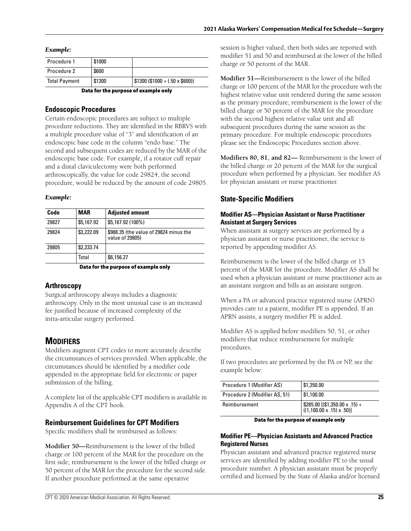#### *Example:*

| Data for the purpose of example only                                      |        |  |  |  |  |
|---------------------------------------------------------------------------|--------|--|--|--|--|
| $\vert$ \$1300 (\$1000 + (.50 x \$600))<br>\$1300<br><b>Total Payment</b> |        |  |  |  |  |
| Procedure 2                                                               | \$600  |  |  |  |  |
| Procedure 1                                                               | \$1000 |  |  |  |  |
|                                                                           |        |  |  |  |  |

#### **Endoscopic Procedures**

Certain endoscopic procedures are subject to multiple procedure reductions. They are identified in the RBRVS with a multiple procedure value of "3" and identification of an endoscopic base code in the column "endo base." The second and subsequent codes are reduced by the MAR of the endoscopic base code. For example, if a rotator cuff repair and a distal claviculectomy were both performed arthroscopically, the value for code 29824, the second procedure, would be reduced by the amount of code 29805.

#### *Example:*

| Code  | <b>MAR</b> | <b>Adjusted amount</b>                                    |
|-------|------------|-----------------------------------------------------------|
| 29827 | \$5,167.92 | \$5,167.92 (100%)                                         |
| 29824 | \$3,222.09 | \$988.35 (the value of 29824 minus the<br>value of 29805) |
| 29805 | \$2,233.74 |                                                           |
|       | Total      | \$6,156.27                                                |

**Data for the purpose of example only**

#### **Arthroscopy**

Surgical arthroscopy always includes a diagnostic arthroscopy. Only in the most unusual case is an increased fee justified because of increased complexity of the intra-articular surgery performed.

## **MODIFIERS**

Modifiers augment CPT codes to more accurately describe the circumstances of services provided. When applicable, the circumstances should be identified by a modifier code appended in the appropriate field for electronic or paper submission of the billing.

A complete list of the applicable CPT modifiers is available in Appendix A of the CPT book.

#### **Reimbursement Guidelines for CPT Modifiers**

Specific modifiers shall be reimbursed as follows:

**Modifier 50—**Reimbursement is the lower of the billed charge or 100 percent of the MAR for the procedure on the first side; reimbursement is the lower of the billed charge or 50 percent of the MAR for the procedure for the second side. If another procedure performed at the same operative

session is higher valued, then both sides are reported with modifier 51 and 50 and reimbursed at the lower of the billed charge or 50 percent of the MAR.

**Modifier 51—**Reimbursement is the lower of the billed charge or 100 percent of the MAR for the procedure with the highest relative value unit rendered during the same session as the primary procedure; reimbursement is the lower of the billed charge or 50 percent of the MAR for the procedure with the second highest relative value unit and all subsequent procedures during the same session as the primary procedure. For multiple endoscopic procedures please see the Endoscopic Procedures section above.

**Modifiers 80, 81, and 82—** Reimbursement is the lower of the billed charge or 20 percent of the MAR for the surgical procedure when performed by a physician. See modifier AS for physician assistant or nurse practitioner.

#### **State-Specific Modifiers**

#### **Modifier AS—Physician Assistant or Nurse Practitioner Assistant at Surgery Services**

When assistant at surgery services are performed by a physician assistant or nurse practitioner, the service is reported by appending modifier AS.

Reimbursement is the lower of the billed charge or 15 percent of the MAR for the procedure. Modifier AS shall be used when a physician assistant or nurse practitioner acts as an assistant surgeon and bills as an assistant surgeon.

When a PA or advanced practice registered nurse (APRN) provides care to a patient, modifier PE is appended. If an APRN assists, a surgery modifier PE is added.

Modifier AS is applied before modifiers 50, 51, or other modifiers that reduce reimbursement for multiple procedures.

If two procedures are performed by the PA or NP, see the example below:

| Procedure 1 (Modifier AS)     | \$1,350.00                                                                                                                                                      |
|-------------------------------|-----------------------------------------------------------------------------------------------------------------------------------------------------------------|
| Procedure 2 (Modifier AS, 51) | \$1,100.00                                                                                                                                                      |
| Reimbursement                 | $\left[ \begin{array}{l} $285.00 \left[ ( $1,350.00 \times .15 \right) + \thinspace \right. \ ( (1,100.00 \times .15) \times .50 ) \right] \end{array} \right]$ |

**Data for the purpose of example only**

#### **Modifier PE—Physician Assistants and Advanced Practice Registered Nurses**

Physician assistant and advanced practice registered nurse services are identified by adding modifier PE to the usual procedure number. A physician assistant must be properly certified and licensed by the State of Alaska and/or licensed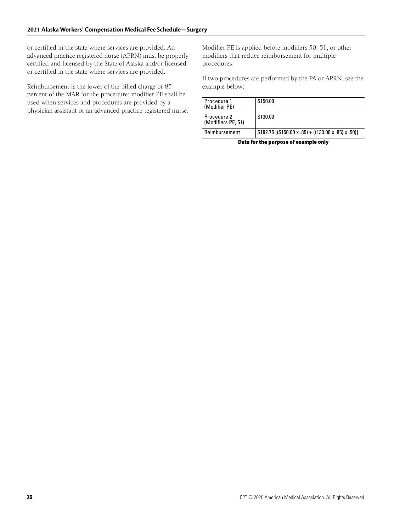or certified in the state where services are provided. An advanced practice registered nurse (APRN) must be properly certified and licensed by the State of Alaska and/or licensed or certified in the state where services are provided.

Reimbursement is the lower of the billed charge or 85 percent of the MAR for the procedure; modifier PE shall be used when services and procedures are provided by a physician assistant or an advanced practice registered nurse. Modifier PE is applied before modifiers 50, 51, or other modifiers that reduce reimbursement for multiple procedures.

If two procedures are performed by the PA or APRN, see the example below:

| Procedure 1<br>(Modifier PE)      | \$150.00                                             |
|-----------------------------------|------------------------------------------------------|
| Procedure 2<br>(Modifiers PE, 51) | \$130.00                                             |
| Reimbursement                     | $$182.75$ [(\$150.00 x .85) + (130.00 x .85) x .50)] |

**Data for the purpose of example only**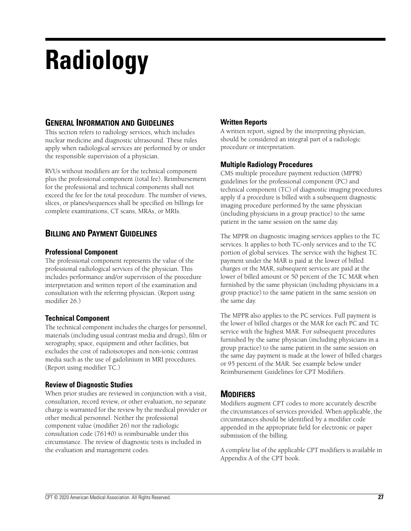# **Radiology**

## **GENERAL INFORMATION AND GUIDELINES**

This section refers to radiology services, which includes nuclear medicine and diagnostic ultrasound. These rules apply when radiological services are performed by or under the responsible supervision of a physician.

RVUs without modifiers are for the technical component plus the professional component (total fee). Reimbursement for the professional and technical components shall not exceed the fee for the total procedure. The number of views, slices, or planes/sequences shall be specified on billings for complete examinations, CT scans, MRAs, or MRIs.

## **BILLING AND PAYMENT GUIDELINES**

#### **Professional Component**

The professional component represents the value of the professional radiological services of the physician. This includes performance and/or supervision of the procedure interpretation and written report of the examination and consultation with the referring physician. (Report using modifier 26.)

## **Technical Component**

The technical component includes the charges for personnel, materials (including usual contrast media and drugs), film or xerography, space, equipment and other facilities, but excludes the cost of radioisotopes and non-ionic contrast media such as the use of gadolinium in MRI procedures. (Report using modifier TC.)

## **Review of Diagnostic Studies**

When prior studies are reviewed in conjunction with a visit, consultation, record review, or other evaluation, no separate charge is warranted for the review by the medical provider or other medical personnel. Neither the professional component value (modifier 26) nor the radiologic consultation code (76140) is reimbursable under this circumstance. The review of diagnostic tests is included in the evaluation and management codes.

## **Written Reports**

A written report, signed by the interpreting physician, should be considered an integral part of a radiologic procedure or interpretation.

## **Multiple Radiology Procedures**

CMS multiple procedure payment reduction (MPPR) guidelines for the professional component (PC) and technical component (TC) of diagnostic imaging procedures apply if a procedure is billed with a subsequent diagnostic imaging procedure performed by the same physician (including physicians in a group practice) to the same patient in the same session on the same day.

The MPPR on diagnostic imaging services applies to the TC services. It applies to both TC-only services and to the TC portion of global services. The service with the highest TC payment under the MAR is paid at the lower of billed charges or the MAR, subsequent services are paid at the lower of billed amount or 50 percent of the TC MAR when furnished by the same physician (including physicians in a group practice) to the same patient in the same session on the same day.

The MPPR also applies to the PC services. Full payment is the lower of billed charges or the MAR for each PC and TC service with the highest MAR. For subsequent procedures furnished by the same physician (including physicians in a group practice) to the same patient in the same session on the same day payment is made at the lower of billed charges or 95 percent of the MAR. See example below under Reimbursement Guidelines for CPT Modifiers.

## **MODIFIERS**

Modifiers augment CPT codes to more accurately describe the circumstances of services provided. When applicable, the circumstances should be identified by a modifier code appended in the appropriate field for electronic or paper submission of the billing.

A complete list of the applicable CPT modifiers is available in Appendix A of the CPT book.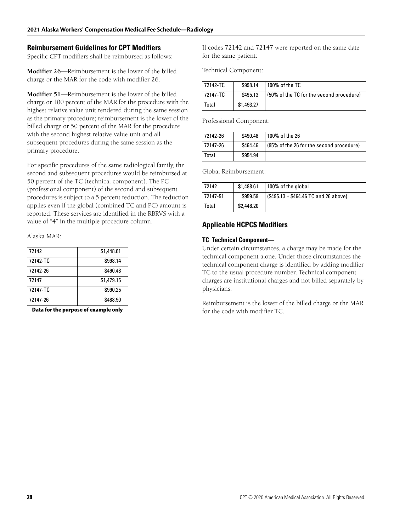#### **Reimbursement Guidelines for CPT Modifiers**

Specific CPT modifiers shall be reimbursed as follows:

**Modifier 26—**Reimbursement is the lower of the billed charge or the MAR for the code with modifier 26.

**Modifier 51—**Reimbursement is the lower of the billed charge or 100 percent of the MAR for the procedure with the highest relative value unit rendered during the same session as the primary procedure; reimbursement is the lower of the billed charge or 50 percent of the MAR for the procedure with the second highest relative value unit and all subsequent procedures during the same session as the primary procedure.

For specific procedures of the same radiological family, the second and subsequent procedures would be reimbursed at 50 percent of the TC (technical component). The PC (professional component) of the second and subsequent procedures is subject to a 5 percent reduction. The reduction applies even if the global (combined TC and PC) amount is reported. These services are identified in the RBRVS with a value of "4" in the multiple procedure column.

Alaska MAR:

| 72142    | \$1,448.61 |
|----------|------------|
| 72142-TC | \$998.14   |
| 72142-26 | \$490.48   |
| 72147    | \$1,479.15 |
| 72147-TC | \$990.25   |
| 72147-26 | \$488.90   |
|          |            |

**Data for the purpose of example only**

If codes 72142 and 72147 were reported on the same date for the same patient:

Technical Component:

| 72142-TC | \$998.14   | 100% of the TC                           |
|----------|------------|------------------------------------------|
| 72147-TC | \$495.13   | (50% of the TC for the second procedure) |
| Total    | \$1,493.27 |                                          |

Professional Component:

| 72142-26 | \$490.48 | 100% of the 26                           |
|----------|----------|------------------------------------------|
| 72147-26 | \$464.46 | (95% of the 26 for the second procedure) |
| Total    | \$954.94 |                                          |

Global Reimbursement:

| 72142    | \$1,488.61 | 100% of the global                    |
|----------|------------|---------------------------------------|
| 72147-51 | \$959.59   | $($495.13 + $464.46 TC and 26 above)$ |
| Total    | \$2,448.20 |                                       |

#### **Applicable HCPCS Modifiers**

#### **TC Technical Component—**

Under certain circumstances, a charge may be made for the technical component alone. Under those circumstances the technical component charge is identified by adding modifier TC to the usual procedure number. Technical component charges are institutional charges and not billed separately by physicians.

Reimbursement is the lower of the billed charge or the MAR for the code with modifier TC.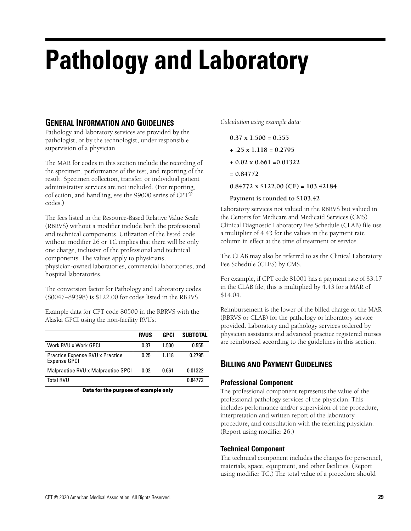## **Pathology and Laboratory**

## **GENERAL INFORMATION AND GUIDELINES**

Pathology and laboratory services are provided by the pathologist, or by the technologist, under responsible supervision of a physician.

The MAR for codes in this section include the recording of the specimen, performance of the test, and reporting of the result. Specimen collection, transfer, or individual patient administrative services are not included. (For reporting, collection, and handling, see the 99000 series of CPT® codes.)

The fees listed in the Resource-Based Relative Value Scale (RBRVS) without a modifier include both the professional and technical components. Utilization of the listed code without modifier 26 or TC implies that there will be only one charge, inclusive of the professional and technical components. The values apply to physicians, physician-owned laboratories, commercial laboratories, and hospital laboratories.

The conversion factor for Pathology and Laboratory codes (80047–89398) is \$122.00 for codes listed in the RBRVS.

Example data for CPT code 80500 in the RBRVS with the Alaska GPCI using the non-facility RVUs:

|                                                        | <b>RVUS</b> | <b>GPCI</b> | <b>SUBTOTAL</b> |
|--------------------------------------------------------|-------------|-------------|-----------------|
| Work RVU x Work GPCI                                   | 0.37        | 1.500       | 0.555           |
| Practice Expense RVU x Practice<br><b>Expense GPCI</b> | 0.25        | 1.118       | 0.2795          |
| Malpractice RVU x Malpractice GPCI                     | 0.02        | 0.661       | 0.01322         |
| <b>Total RVU</b>                                       |             |             | 0.84772         |

**Data for the purpose of example only**

*Calculation using example data:*

- **0.37 x 1.500 = 0.555**
- **+ .25 x 1.118 = 0.2795**
- **+ 0.02 x 0.661 =0.01322**
- **= 0.84772**

**0.84772 x \$122.00 (CF) = 103.42184**

#### **Payment is rounded to \$103.42**

Laboratory services not valued in the RBRVS but valued in the Centers for Medicare and Medicaid Services (CMS) Clinical Diagnostic Laboratory Fee Schedule (CLAB) file use a multiplier of 4.43 for the values in the payment rate column in effect at the time of treatment or service.

The CLAB may also be referred to as the Clinical Laboratory Fee Schedule (CLFS) by CMS.

For example, if CPT code 81001 has a payment rate of \$3.17 in the CLAB file, this is multiplied by 4.43 for a MAR of \$14.04.

Reimbursement is the lower of the billed charge or the MAR (RBRVS or CLAB) for the pathology or laboratory service provided. Laboratory and pathology services ordered by physician assistants and advanced practice registered nurses are reimbursed according to the guidelines in this section.

## **BILLING AND PAYMENT GUIDELINES**

#### **Professional Component**

The professional component represents the value of the professional pathology services of the physician. This includes performance and/or supervision of the procedure, interpretation and written report of the laboratory procedure, and consultation with the referring physician. (Report using modifier 26.)

#### **Technical Component**

The technical component includes the charges for personnel, materials, space, equipment, and other facilities. (Report using modifier TC.) The total value of a procedure should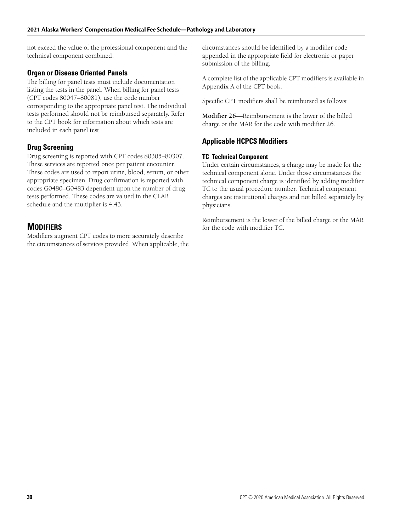not exceed the value of the professional component and the technical component combined.

#### **Organ or Disease Oriented Panels**

The billing for panel tests must include documentation listing the tests in the panel. When billing for panel tests (CPT codes 80047–80081), use the code number corresponding to the appropriate panel test. The individual tests performed should not be reimbursed separately. Refer to the CPT book for information about which tests are included in each panel test.

#### **Drug Screening**

Drug screening is reported with CPT codes 80305–80307. These services are reported once per patient encounter. These codes are used to report urine, blood, serum, or other appropriate specimen. Drug confirmation is reported with codes G0480–G0483 dependent upon the number of drug tests performed. These codes are valued in the CLAB schedule and the multiplier is 4.43.

## **MODIFIERS**

Modifiers augment CPT codes to more accurately describe the circumstances of services provided. When applicable, the circumstances should be identified by a modifier code appended in the appropriate field for electronic or paper submission of the billing.

A complete list of the applicable CPT modifiers is available in Appendix A of the CPT book.

Specific CPT modifiers shall be reimbursed as follows:

**Modifier 26—**Reimbursement is the lower of the billed charge or the MAR for the code with modifier 26.

## **Applicable HCPCS Modifiers**

#### **TC Technical Component**

Under certain circumstances, a charge may be made for the technical component alone. Under those circumstances the technical component charge is identified by adding modifier TC to the usual procedure number. Technical component charges are institutional charges and not billed separately by physicians.

Reimbursement is the lower of the billed charge or the MAR for the code with modifier TC.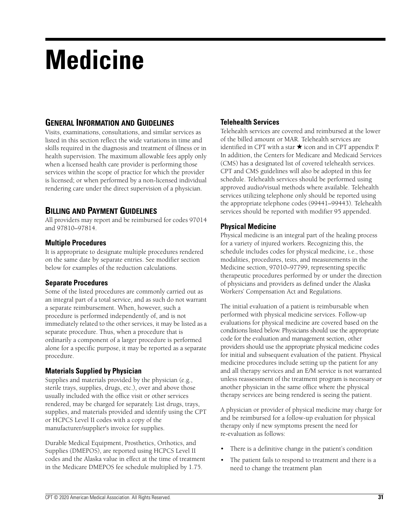## **Medicine**

## **GENERAL INFORMATION AND GUIDELINES**

Visits, examinations, consultations, and similar services as listed in this section reflect the wide variations in time and skills required in the diagnosis and treatment of illness or in health supervision. The maximum allowable fees apply only when a licensed health care provider is performing those services within the scope of practice for which the provider is licensed; or when performed by a non-licensed individual rendering care under the direct supervision of a physician.

## **BILLING AND PAYMENT GUIDELINES**

All providers may report and be reimbursed for codes 97014 and 97810–97814.

#### **Multiple Procedures**

It is appropriate to designate multiple procedures rendered on the same date by separate entries. See modifier section below for examples of the reduction calculations.

#### **Separate Procedures**

Some of the listed procedures are commonly carried out as an integral part of a total service, and as such do not warrant a separate reimbursement. When, however, such a procedure is performed independently of, and is not immediately related to the other services, it may be listed as a separate procedure. Thus, when a procedure that is ordinarily a component of a larger procedure is performed alone for a specific purpose, it may be reported as a separate procedure.

#### **Materials Supplied by Physician**

Supplies and materials provided by the physician (e.g., sterile trays, supplies, drugs, etc.), over and above those usually included with the office visit or other services rendered, may be charged for separately. List drugs, trays, supplies, and materials provided and identify using the CPT or HCPCS Level II codes with a copy of the manufacturer/supplier's invoice for supplies.

Durable Medical Equipment, Prosthetics, Orthotics, and Supplies (DMEPOS), are reported using HCPCS Level II codes and the Alaska value in effect at the time of treatment in the Medicare DMEPOS fee schedule multiplied by 1.75.

### **Telehealth Services**

Telehealth services are covered and reimbursed at the lower of the billed amount or MAR. Telehealth services are identified in CPT with a star  $\star$  icon and in CPT appendix P. In addition, the Centers for Medicare and Medicaid Services (CMS) has a designated list of covered telehealth services. CPT and CMS guidelines will also be adopted in this fee schedule. Telehealth services should be performed using approved audio/visual methods where available. Telehealth services utilizing telephone only should be reported using the appropriate telephone codes (99441–99443). Telehealth services should be reported with modifier 95 appended.

#### **Physical Medicine**

Physical medicine is an integral part of the healing process for a variety of injured workers. Recognizing this, the schedule includes codes for physical medicine, i.e., those modalities, procedures, tests, and measurements in the Medicine section, 97010–97799, representing specific therapeutic procedures performed by or under the direction of physicians and providers as defined under the Alaska Workers' Compensation Act and Regulations.

The initial evaluation of a patient is reimbursable when performed with physical medicine services. Follow-up evaluations for physical medicine are covered based on the conditions listed below. Physicians should use the appropriate code for the evaluation and management section, other providers should use the appropriate physical medicine codes for initial and subsequent evaluation of the patient. Physical medicine procedures include setting up the patient for any and all therapy services and an E/M service is not warranted unless reassessment of the treatment program is necessary or another physician in the same office where the physical therapy services are being rendered is seeing the patient.

A physician or provider of physical medicine may charge for and be reimbursed for a follow-up evaluation for physical therapy only if new symptoms present the need for re-evaluation as follows:

- There is a definitive change in the patient's condition
- The patient fails to respond to treatment and there is a need to change the treatment plan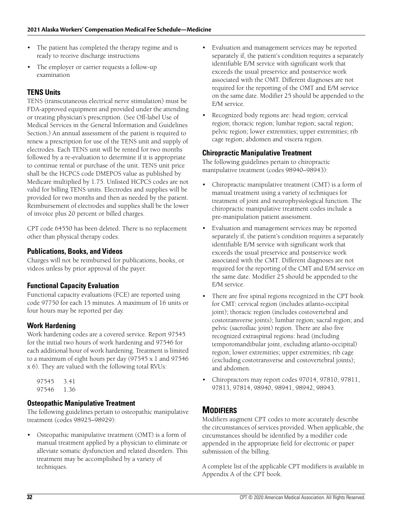- The patient has completed the therapy regime and is ready to receive discharge instructions
- The employer or carrier requests a follow-up examination

## **TENS Units**

TENS (transcutaneous electrical nerve stimulation) must be FDA-approved equipment and provided under the attending or treating physician's prescription. (See Off-label Use of Medical Services in the General Information and Guidelines Section.) An annual assessment of the patient is required to renew a prescription for use of the TENS unit and supply of electrodes. Each TENS unit will be rented for two months followed by a re-evaluation to determine if it is appropriate to continue rental or purchase of the unit. TENS unit price shall be the HCPCS code DMEPOS value as published by Medicare multiplied by 1.75. Unlisted HCPCS codes are not valid for billing TENS units. Electrodes and supplies will be provided for two months and then as needed by the patient. Reimbursement of electrodes and supplies shall be the lower of invoice plus 20 percent or billed charges.

CPT code 64550 has been deleted. There is no replacement other than physical therapy codes.

## **Publications, Books, and Videos**

Charges will not be reimbursed for publications, books, or videos unless by prior approval of the payer.

#### **Functional Capacity Evaluation**

Functional capacity evaluations (FCE) are reported using code 97750 for each 15 minutes. A maximum of 16 units or four hours may be reported per day.

#### **Work Hardening**

Work hardening codes are a covered service. Report 97545 for the initial two hours of work hardening and 97546 for each additional hour of work hardening. Treatment is limited to a maximum of eight hours per day (97545 x 1 and 97546 x 6). They are valued with the following total RVUs:

97545 3.41 97546 1.36

## **Osteopathic Manipulative Treatment**

The following guidelines pertain to osteopathic manipulative treatment (codes 98925–98929):

• Osteopathic manipulative treatment (OMT) is a form of manual treatment applied by a physician to eliminate or alleviate somatic dysfunction and related disorders. This treatment may be accomplished by a variety of techniques.

- Evaluation and management services may be reported separately if, the patient's condition requires a separately identifiable E/M service with significant work that exceeds the usual preservice and postservice work associated with the OMT. Different diagnoses are not required for the reporting of the OMT and E/M service on the same date. Modifier 25 should be appended to the E/M service.
- Recognized body regions are: head region; cervical region; thoracic region; lumbar region; sacral region; pelvic region; lower extremities; upper extremities; rib cage region; abdomen and viscera region.

#### **Chiropractic Manipulative Treatment**

The following guidelines pertain to chiropractic manipulative treatment (codes 98940–98943):

- Chiropractic manipulative treatment (CMT) is a form of manual treatment using a variety of techniques for treatment of joint and neurophysiological function. The chiropractic manipulative treatment codes include a pre-manipulation patient assessment.
- Evaluation and management services may be reported separately if, the patient's condition requires a separately identifiable E/M service with significant work that exceeds the usual preservice and postservice work associated with the CMT. Different diagnoses are not required for the reporting of the CMT and E/M service on the same date. Modifier 25 should be appended to the E/M service.
- There are five spinal regions recognized in the CPT book for CMT: cervical region (includes atlanto-occipital joint); thoracic region (includes costovertebral and costotransverse joints); lumbar region; sacral region; and pelvic (sacroiliac joint) region. There are also five recognized extraspinal regions: head (including temporomandibular joint, excluding atlanto-occipital) region; lower extremities; upper extremities; rib cage (excluding costotransverse and costovertebral joints); and abdomen.
- Chiropractors may report codes 97014, 97810, 97811, 97813, 97814, 98940, 98941, 98942, 98943.

## **MODIFIERS**

Modifiers augment CPT codes to more accurately describe the circumstances of services provided. When applicable, the circumstances should be identified by a modifier code appended in the appropriate field for electronic or paper submission of the billing.

A complete list of the applicable CPT modifiers is available in Appendix A of the CPT book.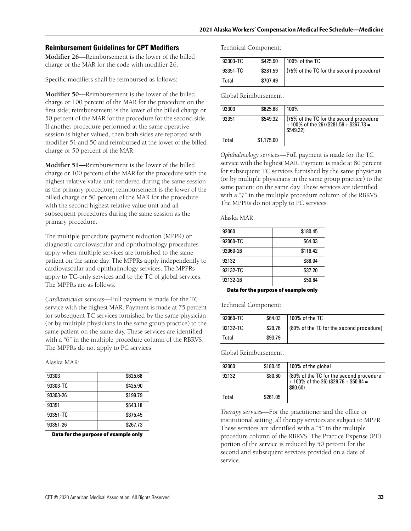#### **Reimbursement Guidelines for CPT Modifiers**

**Modifier 26—**Reimbursement is the lower of the billed charge or the MAR for the code with modifier 26.

Specific modifiers shall be reimbursed as follows:

**Modifier 50—**Reimbursement is the lower of the billed charge or 100 percent of the MAR for the procedure on the first side; reimbursement is the lower of the billed charge or 50 percent of the MAR for the procedure for the second side. If another procedure performed at the same operative session is higher valued, then both sides are reported with modifier 51 and 50 and reimbursed at the lower of the billed charge or 50 percent of the MAR.

**Modifier 51—**Reimbursement is the lower of the billed charge or 100 percent of the MAR for the procedure with the highest relative value unit rendered during the same session as the primary procedure; reimbursement is the lower of the billed charge or 50 percent of the MAR for the procedure with the second highest relative value unit and all subsequent procedures during the same session as the primary procedure.

The multiple procedure payment reduction (MPPR) on diagnostic cardiovascular and ophthalmology procedures apply when multiple services are furnished to the same patient on the same day. The MPPRs apply independently to cardiovascular and ophthalmology services. The MPPRs apply to TC-only services and to the TC of global services. The MPPRs are as follows:

*Cardiovascular services*—Full payment is made for the TC service with the highest MAR. Payment is made at 75 percent for subsequent TC services furnished by the same physician (or by multiple physicians in the same group practice) to the same patient on the same day. These services are identified with a "6" in the multiple procedure column of the RBRVS. The MPPRs do not apply to PC services.

Alaska MAR:

| 93303    | \$625.68 |
|----------|----------|
| 93303-TC | \$425.90 |
| 93303-26 | \$199.79 |
| 93351    | \$643.18 |
| 93351-TC | \$375.45 |
| 93351-26 | \$267.73 |

**Data for the purpose of example only**

Technical Component:

| 93303-TC | \$425.90 | 100% of the TC                           |
|----------|----------|------------------------------------------|
| 93351-TC | \$281.59 | (75% of the TC for the second procedure) |
| Total    | \$707.49 |                                          |

Global Reimbursement:

| 93303 | \$625.68   | 100%                                                                                               |
|-------|------------|----------------------------------------------------------------------------------------------------|
| 93351 | \$549.32   | (75% of the TC for the second procedure<br>$+100\%$ of the 26) (\$281.59 + \$267.73 =<br>\$549.32) |
| Total | \$1,175.00 |                                                                                                    |

*Ophthalmology services*—Full payment is made for the TC service with the highest MAR. Payment is made at 80 percent for subsequent TC services furnished by the same physician (or by multiple physicians in the same group practice) to the same patient on the same day. These services are identified with a "7" in the multiple procedure column of the RBRVS. The MPPRs do not apply to PC services.

Alaska MAR:

| 92060    | \$180.45 |
|----------|----------|
| 92060-TC | \$64.03  |
| 92060-26 | \$116.42 |
| 92132    | \$88.04  |
| 92132-TC | \$37.20  |
| 92132-26 | \$50.84  |
|          |          |

**Data for the purpose of example only**

Technical Component:

| 92060-TC | \$64.03 | 100% of the TC                           |
|----------|---------|------------------------------------------|
| 92132-TC | \$29.76 | (80% of the TC for the second procedure) |
| Total    | \$93.79 |                                          |

Global Reimbursement:

| 92060 | \$180.45 | 100% of the global                                                                               |
|-------|----------|--------------------------------------------------------------------------------------------------|
| 92132 | \$80.60  | (80% of the TC for the second procedure<br>$+ 100\%$ of the 26) (\$29.76 + \$50.84 =<br>\$80.60) |
| Total | \$261.05 |                                                                                                  |

*Therapy services*—For the practitioner and the office or institutional setting, all therapy services are subject to MPPR. These services are identified with a "5" in the multiple procedure column of the RBRVS. The Practice Expense (PE) portion of the service is reduced by 50 percent for the second and subsequent services provided on a date of service.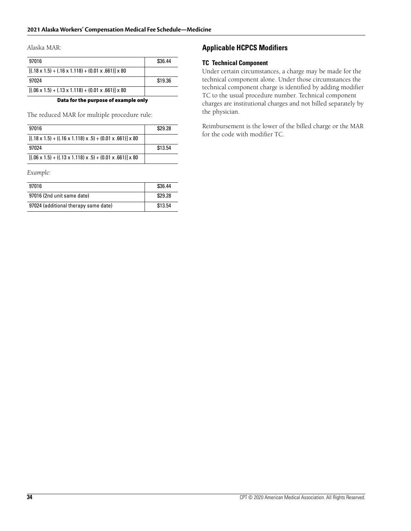Alaska MAR:

| 97016                                                                    | \$36.44 |
|--------------------------------------------------------------------------|---------|
| $[(.18 \times 1.5) + (.16 \times 1.118) + (0.01 \times .661)] \times 80$ |         |
| 97024                                                                    | \$19.36 |
| $[(.06 \times 1.5) + (.13 \times 1.118) + (0.01 \times .661)] \times 80$ |         |
| _ _ _                                                                    |         |

**Data for the purpose of example only**

The reduced MAR for multiple procedure rule:

| 97016                                                                                | \$29.28 |
|--------------------------------------------------------------------------------------|---------|
| $[(.18 \times 1.5) + ((.16 \times 1.118) \times .5) + (0.01 \times .661)] \times 80$ |         |
| 97024                                                                                | \$13.54 |
| $[(.06 \times 1.5) + ((.13 \times 1.118) \times .5) + (0.01 \times .661)] \times 80$ |         |

*Example:*

| 97016                                | \$36.44 |
|--------------------------------------|---------|
| 97016 (2nd unit same date)           | \$29.28 |
| 97024 (additional therapy same date) | \$13.54 |

#### **Applicable HCPCS Modifiers**

#### **TC Technical Component**

Under certain circumstances, a charge may be made for the technical component alone. Under those circumstances the technical component charge is identified by adding modifier TC to the usual procedure number. Technical component charges are institutional charges and not billed separately by the physician.

Reimbursement is the lower of the billed charge or the MAR for the code with modifier TC.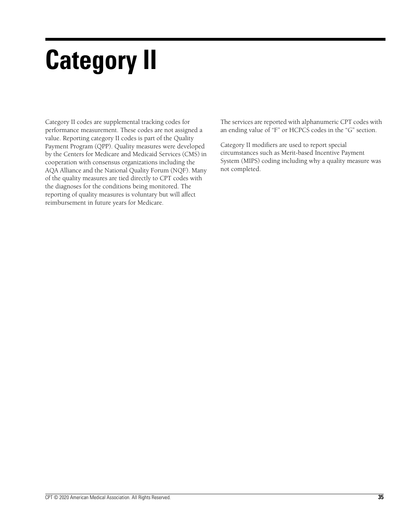# **Category II**

Category II codes are supplemental tracking codes for performance measurement. These codes are not assigned a value. Reporting category II codes is part of the Quality Payment Program (QPP). Quality measures were developed by the Centers for Medicare and Medicaid Services (CMS) in cooperation with consensus organizations including the AQA Alliance and the National Quality Forum (NQF). Many of the quality measures are tied directly to CPT codes with the diagnoses for the conditions being monitored. The reporting of quality measures is voluntary but will affect reimbursement in future years for Medicare.

The services are reported with alphanumeric CPT codes with an ending value of "F" or HCPCS codes in the "G" section.

Category II modifiers are used to report special circumstances such as Merit-based Incentive Payment System (MIPS) coding including why a quality measure was not completed.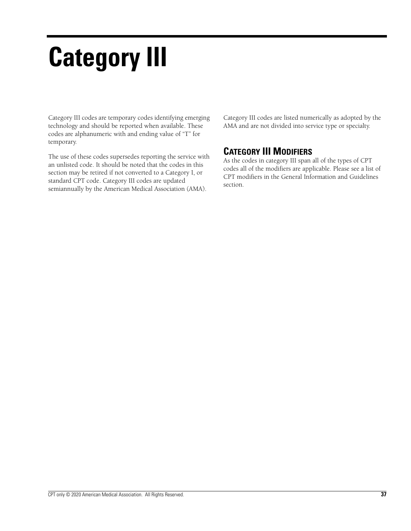# **Category III**

Category III codes are temporary codes identifying emerging technology and should be reported when available. These codes are alphanumeric with and ending value of "T" for temporary.

The use of these codes supersedes reporting the service with an unlisted code. It should be noted that the codes in this section may be retired if not converted to a Category I, or standard CPT code. Category III codes are updated semiannually by the American Medical Association (AMA).

Category III codes are listed numerically as adopted by the AMA and are not divided into service type or specialty.

## **CATEGORY III MODIFIERS**

As the codes in category III span all of the types of CPT codes all of the modifiers are applicable. Please see a list of CPT modifiers in the General Information and Guidelines section.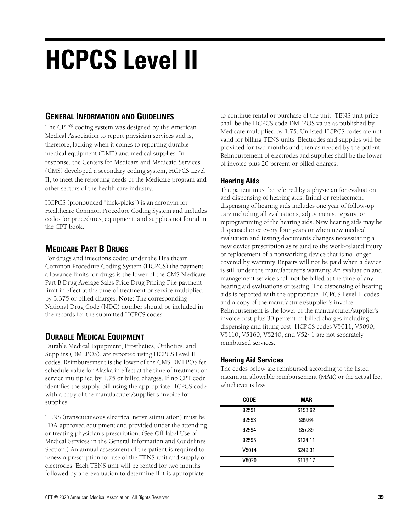## **HCPCS Level II**

## **GENERAL INFORMATION AND GUIDELINES**

The CPT® coding system was designed by the American Medical Association to report physician services and is, therefore, lacking when it comes to reporting durable medical equipment (DME) and medical supplies. In response, the Centers for Medicare and Medicaid Services (CMS) developed a secondary coding system, HCPCS Level II, to meet the reporting needs of the Medicare program and other sectors of the health care industry.

HCPCS (pronounced "hick-picks") is an acronym for Healthcare Common Procedure Coding System and includes codes for procedures, equipment, and supplies not found in the CPT book.

## **MEDICARE PART B DRUGS**

For drugs and injections coded under the Healthcare Common Procedure Coding System (HCPCS) the payment allowance limits for drugs is the lower of the CMS Medicare Part B Drug Average Sales Price Drug Pricing File payment limit in effect at the time of treatment or service multiplied by 3.375 or billed charges. **Note:** The corresponding National Drug Code (NDC) number should be included in the records for the submitted HCPCS codes.

## **DURABLE MEDICAL EQUIPMENT**

Durable Medical Equipment, Prosthetics, Orthotics, and Supplies (DMEPOS), are reported using HCPCS Level II codes. Reimbursement is the lower of the CMS DMEPOS fee schedule value for Alaska in effect at the time of treatment or service multiplied by 1.75 or billed charges. If no CPT code identifies the supply, bill using the appropriate HCPCS code with a copy of the manufacturer/supplier's invoice for supplies.

TENS (transcutaneous electrical nerve stimulation) must be FDA-approved equipment and provided under the attending or treating physician's prescription. (See Off-label Use of Medical Services in the General Information and Guidelines Section.) An annual assessment of the patient is required to renew a prescription for use of the TENS unit and supply of electrodes. Each TENS unit will be rented for two months followed by a re-evaluation to determine if it is appropriate

to continue rental or purchase of the unit. TENS unit price shall be the HCPCS code DMEPOS value as published by Medicare multiplied by 1.75. Unlisted HCPCS codes are not valid for billing TENS units. Electrodes and supplies will be provided for two months and then as needed by the patient. Reimbursement of electrodes and supplies shall be the lower of invoice plus 20 percent or billed charges.

## **Hearing Aids**

The patient must be referred by a physician for evaluation and dispensing of hearing aids. Initial or replacement dispensing of hearing aids includes one year of follow-up care including all evaluations, adjustments, repairs, or reprogramming of the hearing aids. New hearing aids may be dispensed once every four years or when new medical evaluation and testing documents changes necessitating a new device prescription as related to the work-related injury or replacement of a nonworking device that is no longer covered by warranty. Repairs will not be paid when a device is still under the manufacturer's warranty. An evaluation and management service shall not be billed at the time of any hearing aid evaluations or testing. The dispensing of hearing aids is reported with the appropriate HCPCS Level II codes and a copy of the manufacturer/supplier's invoice. Reimbursement is the lower of the manufacturer/supplier's invoice cost plus 30 percent or billed charges including dispensing and fitting cost. HCPCS codes V5011, V5090, V5110, V5160, V5240, and V5241 are not separately reimbursed services.

## **Hearing Aid Services**

The codes below are reimbursed according to the listed maximum allowable reimbursement (MAR) or the actual fee, whichever is less.

| <b>CODE</b> | MAR      |
|-------------|----------|
| 92591       | \$193.62 |
| 92593       | \$99.64  |
| 92594       | \$57.89  |
| 92595       | \$124.11 |
| V5014       | \$249.31 |
| V5020       | \$116.17 |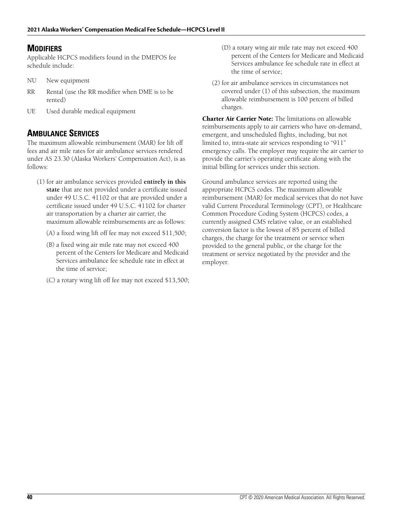## **MODIFIERS**

Applicable HCPCS modifiers found in the DMEPOS fee schedule include:

- NU New equipment
- RR Rental (use the RR modifier when DME is to be rented)
- UE Used durable medical equipment

## **AMBULANCE SERVICES**

The maximum allowable reimbursement (MAR) for lift off fees and air mile rates for air ambulance services rendered under AS 23.30 (Alaska Workers' Compensation Act), is as follows:

- (1) for air ambulance services provided **entirely in this state** that are not provided under a certificate issued under 49 U.S.C. 41102 or that are provided under a certificate issued under 49 U.S.C. 41102 for charter air transportation by a charter air carrier, the maximum allowable reimbursements are as follows:
	- (A) a fixed wing lift off fee may not exceed \$11,500;
	- (B) a fixed wing air mile rate may not exceed 400 percent of the Centers for Medicare and Medicaid Services ambulance fee schedule rate in effect at the time of service;
	- (C) a rotary wing lift off fee may not exceed \$13,500;
- (D) a rotary wing air mile rate may not exceed 400 percent of the Centers for Medicare and Medicaid Services ambulance fee schedule rate in effect at the time of service;
- (2) for air ambulance services in circumstances not covered under (1) of this subsection, the maximum allowable reimbursement is 100 percent of billed charges.

**Charter Air Carrier Note:** The limitations on allowable reimbursements apply to air carriers who have on-demand, emergent, and unscheduled flights, including, but not limited to, intra-state air services responding to "911" emergency calls. The employer may require the air carrier to provide the carrier's operating certificate along with the initial billing for services under this section.

Ground ambulance services are reported using the appropriate HCPCS codes. The maximum allowable reimbursement (MAR) for medical services that do not have valid Current Procedural Terminology (CPT), or Healthcare Common Procedure Coding System (HCPCS) codes, a currently assigned CMS relative value, or an established conversion factor is the lowest of 85 percent of billed charges, the charge for the treatment or service when provided to the general public, or the charge for the treatment or service negotiated by the provider and the employer.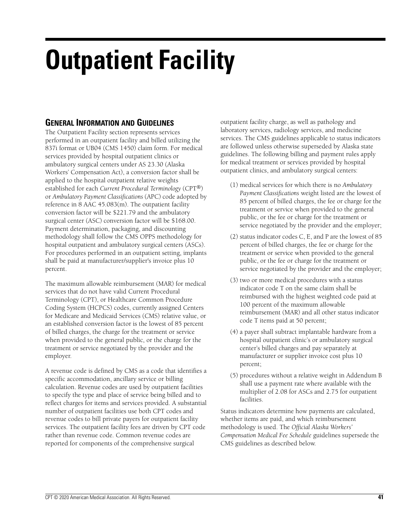## **Outpatient Facility**

## **GENERAL INFORMATION AND GUIDELINES**

The Outpatient Facility section represents services performed in an outpatient facility and billed utilizing the 837i format or UB04 (CMS 1450) claim form. For medical services provided by hospital outpatient clinics or ambulatory surgical centers under AS 23.30 (Alaska Workers' Compensation Act), a conversion factor shall be applied to the hospital outpatient relative weights established for each *Current Procedural Terminology* (CPT®) or *Ambulatory Payment Classifications* (APC) code adopted by reference in 8 AAC 45.083(m). The outpatient facility conversion factor will be \$221.79 and the ambulatory surgical center (ASC) conversion factor will be \$168.00. Payment determination, packaging, and discounting methodology shall follow the CMS OPPS methodology for hospital outpatient and ambulatory surgical centers (ASCs). For procedures performed in an outpatient setting, implants shall be paid at manufacturer/supplier's invoice plus 10 percent.

The maximum allowable reimbursement (MAR) for medical services that do not have valid Current Procedural Terminology (CPT), or Healthcare Common Procedure Coding System (HCPCS) codes, currently assigned Centers for Medicare and Medicaid Services (CMS) relative value, or an established conversion factor is the lowest of 85 percent of billed charges, the charge for the treatment or service when provided to the general public, or the charge for the treatment or service negotiated by the provider and the employer.

A revenue code is defined by CMS as a code that identifies a specific accommodation, ancillary service or billing calculation. Revenue codes are used by outpatient facilities to specify the type and place of service being billed and to reflect charges for items and services provided. A substantial number of outpatient facilities use both CPT codes and revenue codes to bill private payers for outpatient facility services. The outpatient facility fees are driven by CPT code rather than revenue code. Common revenue codes are reported for components of the comprehensive surgical

outpatient facility charge, as well as pathology and laboratory services, radiology services, and medicine services. The CMS guidelines applicable to status indicators are followed unless otherwise superseded by Alaska state guidelines. The following billing and payment rules apply for medical treatment or services provided by hospital outpatient clinics, and ambulatory surgical centers:

- (1) medical services for which there is no *Ambulatory Payment Classifications* weight listed are the lowest of 85 percent of billed charges, the fee or charge for the treatment or service when provided to the general public, or the fee or charge for the treatment or service negotiated by the provider and the employer;
- (2) status indicator codes C, E, and P are the lowest of 85 percent of billed charges, the fee or charge for the treatment or service when provided to the general public, or the fee or charge for the treatment or service negotiated by the provider and the employer;
- (3) two or more medical procedures with a status indicator code T on the same claim shall be reimbursed with the highest weighted code paid at 100 percent of the maximum allowable reimbursement (MAR) and all other status indicator code T items paid at 50 percent;
- (4) a payer shall subtract implantable hardware from a hospital outpatient clinic's or ambulatory surgical center's billed charges and pay separately at manufacturer or supplier invoice cost plus 10 percent;
- (5) procedures without a relative weight in Addendum B shall use a payment rate where available with the multiplier of 2.08 for ASCs and 2.75 for outpatient facilities.

Status indicators determine how payments are calculated, whether items are paid, and which reimbursement methodology is used. The *Official Alaska Workers' Compensation Medical Fee Schedule* guidelines supersede the CMS guidelines as described below.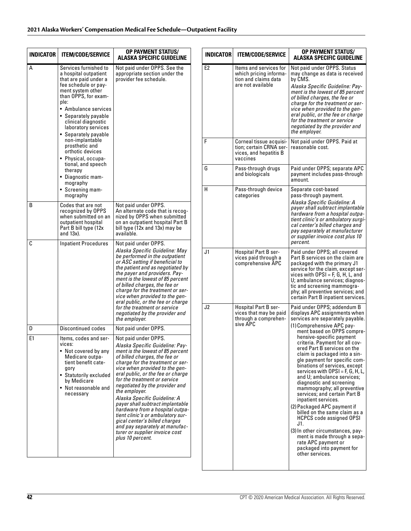| Services furnished to<br>a hospital outpatient<br>that are paid under a<br>fee schedule or pay-<br>ment system other<br>than OPPS, for exam-<br>ple:<br>• Ambulance services<br>• Separately payable<br>clinical diagnostic<br>laboratory services<br>• Separately payable<br>non-implantable<br>prosthetic and<br>orthotic devices<br>• Physical, occupa-<br>tional, and speech<br>therapy<br>• Diagnostic mam-<br>mography<br>• Screening mam- | Not paid under OPPS. See the<br>appropriate section under the<br>provider fee schedule.                                                                                                                                                                                                                                                                                                                                                                                                                                                                                                         | E <sub>2</sub><br>F<br>G         |
|--------------------------------------------------------------------------------------------------------------------------------------------------------------------------------------------------------------------------------------------------------------------------------------------------------------------------------------------------------------------------------------------------------------------------------------------------|-------------------------------------------------------------------------------------------------------------------------------------------------------------------------------------------------------------------------------------------------------------------------------------------------------------------------------------------------------------------------------------------------------------------------------------------------------------------------------------------------------------------------------------------------------------------------------------------------|----------------------------------|
|                                                                                                                                                                                                                                                                                                                                                                                                                                                  |                                                                                                                                                                                                                                                                                                                                                                                                                                                                                                                                                                                                 |                                  |
| mography                                                                                                                                                                                                                                                                                                                                                                                                                                         |                                                                                                                                                                                                                                                                                                                                                                                                                                                                                                                                                                                                 | н                                |
| Codes that are not<br>recognized by OPPS<br>when submitted on an<br>outpatient hospital<br>Part B bill type (12x)<br>and 13x).                                                                                                                                                                                                                                                                                                                   | Not paid under OPPS.<br>An alternate code that is recog-<br>nized by OPPS when submitted<br>on an outpatient hospital Part B<br>bill type (12x and 13x) may be<br>available.                                                                                                                                                                                                                                                                                                                                                                                                                    |                                  |
|                                                                                                                                                                                                                                                                                                                                                                                                                                                  | Alaska Specific Guideline: May<br>be performed in the outpatient<br>or ASC setting if beneficial to<br>the patient and as negotiated by<br>the payer and providers. Pay-<br>ment is the lowest of 85 percent<br>of billed charges, the fee or<br>charge for the treatment or ser-<br>vice when provided to the gen-<br>eral public, or the fee or charge<br>for the treatment or service<br>negotiated by the provider and<br>the employer.                                                                                                                                                     | J <sub>1</sub><br>J <sub>2</sub> |
| <b>Discontinued codes</b>                                                                                                                                                                                                                                                                                                                                                                                                                        | Not paid under OPPS.                                                                                                                                                                                                                                                                                                                                                                                                                                                                                                                                                                            |                                  |
| Items, codes and ser-<br>vices:<br>• Not covered by any<br>Medicare outpa-<br>tient benefit cate-<br>gory<br>• Statutorily excluded<br>by Medicare<br>• Not reasonable and<br>necessary                                                                                                                                                                                                                                                          | Not paid under OPPS.<br>Alaska Specific Guideline: Pay-<br>ment is the lowest of 85 percent<br>of billed charges, the fee or<br>charge for the treatment or ser-<br>vice when provided to the gen-<br>eral public, or the fee or charge<br>for the treatment or service<br>negotiated by the provider and<br>the employer.<br>Alaska Specific Guideline: A<br>payer shall subtract implantable<br>hardware from a hospital outpa-<br>tient clinic's or ambulatory sur-<br>gical center's billed charges<br>and pay separately at manufac-<br>turer or supplier invoice cost<br>plus 10 percent. |                                  |
|                                                                                                                                                                                                                                                                                                                                                                                                                                                  | <b>Inpatient Procedures</b>                                                                                                                                                                                                                                                                                                                                                                                                                                                                                                                                                                     | Not paid under OPPS.             |

| <b>INDICATOR</b> | OP PAYMENT STATUS/<br><b>ITEM/CODE/SERVICE</b><br>ALASKA SPECIFIC GUIDELINE                   |                                                                                                                                                                                                                                                                                                                                                                                                                                                                                                                                                                                                                                                                                                                                                                                                                                               |
|------------------|-----------------------------------------------------------------------------------------------|-----------------------------------------------------------------------------------------------------------------------------------------------------------------------------------------------------------------------------------------------------------------------------------------------------------------------------------------------------------------------------------------------------------------------------------------------------------------------------------------------------------------------------------------------------------------------------------------------------------------------------------------------------------------------------------------------------------------------------------------------------------------------------------------------------------------------------------------------|
| E <sub>2</sub>   | Items and services for<br>which pricing informa-<br>tion and claims data<br>are not available | Not paid under OPPS. Status<br>may change as data is received<br>by CMS.<br>Alaska Specific Guideline: Pay-<br>ment is the lowest of 85 percent<br>of billed charges, the fee or<br>charge for the treatment or ser-<br>vice when provided to the gen-<br>eral public, or the fee or charge<br>for the treatment or service<br>negotiated by the provider and<br>the employer.                                                                                                                                                                                                                                                                                                                                                                                                                                                                |
| F                | Corneal tissue acquisi-<br>tion; certain CRNA ser-<br>vices, and hepatitis B<br>vaccines      | Not paid under OPPS. Paid at<br>reasonable cost.                                                                                                                                                                                                                                                                                                                                                                                                                                                                                                                                                                                                                                                                                                                                                                                              |
| G                | Pass-through drugs<br>and biologicals                                                         | Paid under OPPS; separate APC<br>payment includes pass-through<br>amount.                                                                                                                                                                                                                                                                                                                                                                                                                                                                                                                                                                                                                                                                                                                                                                     |
| н                | Pass-through device<br>categories                                                             | Separate cost-based<br>pass-through payment.<br>Alaska Specific Guideline: A<br>payer shall subtract implantable<br>hardware from a hospital outpa-<br>tient clinic's or ambulatory surgi-<br>cal center's billed charges and<br>pay separately at manufacturer<br>or supplier invoice cost plus 10<br>percent.                                                                                                                                                                                                                                                                                                                                                                                                                                                                                                                               |
| J <sub>1</sub>   | <b>Hospital Part B ser-</b><br>vices paid through a<br>comprehensive APC                      | Paid under OPPS; all covered<br>Part B services on the claim are<br>packaged with the primary J1<br>service for the claim, except ser-<br>vices with $OPSI = F$ , G, H, L, and<br>U; ambulance services; diagnos-<br>tic and screening mammogra-<br>phy; all preventive services; and<br>certain Part B inpatient services.                                                                                                                                                                                                                                                                                                                                                                                                                                                                                                                   |
| J2               | Hospital Part B ser-<br>vices that may be paid<br>through a comprehen-<br>sive APC            | Paid under OPPS; addendum B<br>displays APC assignments when<br>services are separately payable.<br>(1) Comprehensive APC pay-<br>ment based on OPPS compre-<br>hensive-specific payment<br>criteria. Payment for all cov-<br>ered Part B services on the<br>claim is packaged into a sin-<br>gle payment for specific com-<br>binations of services, except<br>services with $\mathsf{OPSI} = \mathsf{F}, \mathsf{G}, \mathsf{H}, \mathsf{L},$<br>and U; ambulance services;<br>diagnostic and screening<br>mammography; all preventive<br>services; and certain Part B<br>inpatient services.<br>(2) Packaged APC payment if<br>billed on the same claim as a<br>HCPCS code assigned OPSI<br>J1.<br>(3) In other circumstances, pay-<br>ment is made through a sepa-<br>rate APC payment or<br>packaged into payment for<br>other services. |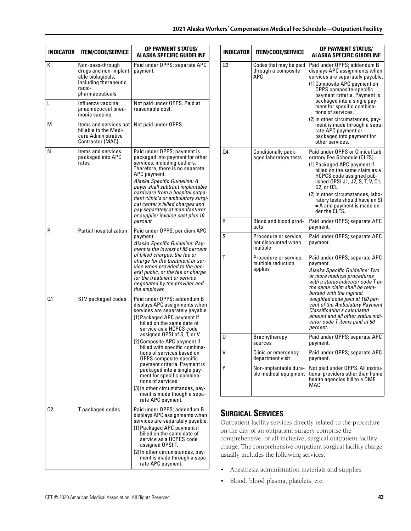| <b>INDICATOR</b> | <b>ITEM/CODE/SERVICE</b>                                                                                              | <b>OP PAYMENT STATUS/</b><br>ALASKA SPECIFIC GUIDELINE                                                                                                                                                                                                                                                                                                                                                                                                                                                                                                        |
|------------------|-----------------------------------------------------------------------------------------------------------------------|---------------------------------------------------------------------------------------------------------------------------------------------------------------------------------------------------------------------------------------------------------------------------------------------------------------------------------------------------------------------------------------------------------------------------------------------------------------------------------------------------------------------------------------------------------------|
| K                | Non-pass-through<br>drugs and non-implant-<br>able biologicals,<br>including therapeutic<br>radio-<br>pharmaceuticals | Paid under OPPS; separate APC<br>payment.                                                                                                                                                                                                                                                                                                                                                                                                                                                                                                                     |
| L                | Influenza vaccine;<br>pneumococcal pneu-<br>monia vaccine                                                             | Not paid under OPPS. Paid at<br>reasonable cost.                                                                                                                                                                                                                                                                                                                                                                                                                                                                                                              |
| М                | Items and services not<br>billable to the Medi-<br>care Administrative<br>Contractor (MAC)                            | Not paid under OPPS.                                                                                                                                                                                                                                                                                                                                                                                                                                                                                                                                          |
| N                | ltems and services<br>packaged into APC<br>rates                                                                      | Paid under OPPS; payment is<br>packaged into payment for other<br>services, including outliers.<br>Therefore, there is no separate<br>APC payment.<br>Alaska Specific Guideline: A<br>payer shall subtract implantable<br>hardware from a hospital outpa-<br>tient clinic's or ambulatory surgi-<br>cal center's billed charges and<br>pay separately at manufacturer<br>or supplier invoice cost plus 10<br>percent.                                                                                                                                         |
| P                | Partial hospitalization                                                                                               | Paid under OPPS; per diem APC<br>payment.<br>Alaska Specific Guideline: Pay-<br>ment is the lowest of 85 percent<br>of billed charges, the fee or<br>charge for the treatment or ser-<br>vice when provided to the gen-<br>eral public, or the fee or charge<br>for the treatment or service<br>negotiated by the provider and<br>the employer.                                                                                                                                                                                                               |
| Q1               | STV packaged codes                                                                                                    | Paid under OPPS; addendum B<br>displays APC assignments when<br>services are separately payable.<br>(1) Packaged APC payment if<br>billed on the same date of<br>service as a HCPCS code<br>assigned OPSI of S, T, or V.<br>(2) Composite APC payment if<br>billed with specific combina-<br>tions of services based on<br>OPPS composite-specific<br>payment criteria. Payment is<br>packaged into a single pay-<br>ment for specific combina-<br>tions of services.<br>(3) In other circumstances, pay-<br>ment is made though a sepa-<br>rate APC payment. |
| 02               | T packaged codes                                                                                                      | Paid under OPPS; addendum B<br>displays APC assignments when<br>services are separately payable.<br>(1) Packaged APC payment if<br>billed on the same date of<br>service as a HCPCS code<br>assigned OPSI T.<br>(2) In other circumstances, pay-<br>ment is made through a sepa-<br>rate APC payment.                                                                                                                                                                                                                                                         |

| <b>INDICATOR</b> | <b>ITEM/CODE/SERVICE</b>                                 | <b>OP PAYMENT STATUS/</b><br><b>ALASKA SPECIFIC GUIDELINE</b>                                                                                                                                                                                                                                                                                                                                                             |
|------------------|----------------------------------------------------------|---------------------------------------------------------------------------------------------------------------------------------------------------------------------------------------------------------------------------------------------------------------------------------------------------------------------------------------------------------------------------------------------------------------------------|
| Q3               | Codes that may be paid<br>through a composite<br>APC     | Paid under OPPS; addendum B<br>displays APC assignments when<br>services are separately payable.<br>(1) Composite APC payment on<br>OPPS composite-specific<br>payment criteria. Payment is<br>packaged into a single pay-<br>ment for specific combina-<br>tions of services.<br>(2) In other circumstances, pay-<br>ment is made through a sepa-<br>rate APC payment or<br>packaged into payment for<br>other services. |
| 04               | Conditionally pack-<br>aged laboratory tests             | Paid under OPPS or Clinical Lab-<br>oratory Fee Schedule (CLFS).<br>(1) Packaged APC payment if<br>billed on the same claim as a<br>HCPCS code assigned pub-<br>lished OPSI J1, J2, S, T, V, Q1,<br>Q2, or Q3.<br>(2) In other circumstances, labo-<br>ratory tests should have an SI<br>$=$ A and payment is made un-<br>der the CLFS.                                                                                   |
| R                | Blood and blood prod-<br>ucts                            | Paid under OPPS; separate APC<br>payment.                                                                                                                                                                                                                                                                                                                                                                                 |
| S                | Procedure or service,<br>not discounted when<br>multiple | Paid under OPPS; separate APC<br>payment.                                                                                                                                                                                                                                                                                                                                                                                 |
| т                | Procedure or service,<br>multiple reduction<br>applies   | Paid under OPPS; separate APC<br>payment.<br>Alaska Specific Guideline: Two<br>or more medical procedures<br>with a status indicator code T on<br>the same claim shall be reim-<br>bursed with the highest<br>weighted code paid at 100 per-<br>cent of the Ambulatory Payment<br>Classification's calculated<br>amount and all other status indi-<br>cator code T items paid at 50<br>percent.                           |
| U                | Brachytherapy<br>sources                                 | Paid under OPPS; separate APC<br>payment.                                                                                                                                                                                                                                                                                                                                                                                 |
| ۷                | Clinic or emergency<br>department visit                  | Paid under OPPS; separate APC<br>payment.                                                                                                                                                                                                                                                                                                                                                                                 |
| Υ                | Non-implantable dura-<br>ble medical equipment           | Not paid under OPPS. All institu-<br>tional providers other than home<br>health agencies bill to a DME<br>MAC.                                                                                                                                                                                                                                                                                                            |

## **SURGICAL SERVICES**

Outpatient facility services directly related to the procedure on the day of an outpatient surgery comprise the comprehensive, or all-inclusive, surgical outpatient facility charge. The comprehensive outpatient surgical facility charge usually includes the following services:

- Anesthesia administration materials and supplies
- Blood, blood plasma, platelets, etc.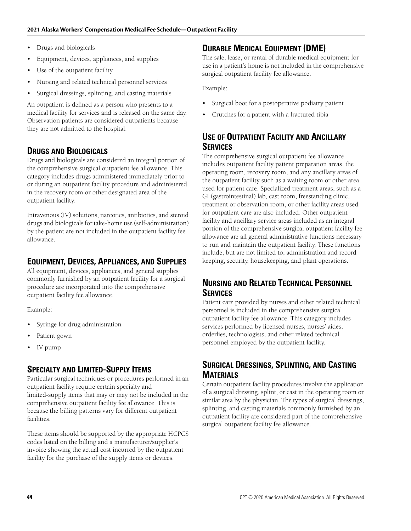- Drugs and biologicals
- Equipment, devices, appliances, and supplies
- Use of the outpatient facility
- Nursing and related technical personnel services
- Surgical dressings, splinting, and casting materials

An outpatient is defined as a person who presents to a medical facility for services and is released on the same day. Observation patients are considered outpatients because they are not admitted to the hospital.

## **DRUGS AND BIOLOGICALS**

Drugs and biologicals are considered an integral portion of the comprehensive surgical outpatient fee allowance. This category includes drugs administered immediately prior to or during an outpatient facility procedure and administered in the recovery room or other designated area of the outpatient facility.

Intravenous (IV) solutions, narcotics, antibiotics, and steroid drugs and biologicals for take-home use (self-administration) by the patient are not included in the outpatient facility fee allowance.

## **EQUIPMENT, DEVICES, APPLIANCES, AND SUPPLIES**

All equipment, devices, appliances, and general supplies commonly furnished by an outpatient facility for a surgical procedure are incorporated into the comprehensive outpatient facility fee allowance.

Example:

- Syringe for drug administration
- Patient gown
- IV pump

## **SPECIALTY AND LIMITED-SUPPLY ITEMS**

Particular surgical techniques or procedures performed in an outpatient facility require certain specialty and limited-supply items that may or may not be included in the comprehensive outpatient facility fee allowance. This is because the billing patterns vary for different outpatient facilities.

These items should be supported by the appropriate HCPCS codes listed on the billing and a manufacturer/supplier's invoice showing the actual cost incurred by the outpatient facility for the purchase of the supply items or devices.

## **DURABLE MEDICAL EQUIPMENT (DME)**

The sale, lease, or rental of durable medical equipment for use in a patient's home is not included in the comprehensive surgical outpatient facility fee allowance.

Example:

- Surgical boot for a postoperative podiatry patient
- Crutches for a patient with a fractured tibia

## **USE OF OUTPATIENT FACILITY AND ANCILLARY SERVICES**

The comprehensive surgical outpatient fee allowance includes outpatient facility patient preparation areas, the operating room, recovery room, and any ancillary areas of the outpatient facility such as a waiting room or other area used for patient care. Specialized treatment areas, such as a GI (gastrointestinal) lab, cast room, freestanding clinic, treatment or observation room, or other facility areas used for outpatient care are also included. Other outpatient facility and ancillary service areas included as an integral portion of the comprehensive surgical outpatient facility fee allowance are all general administrative functions necessary to run and maintain the outpatient facility. These functions include, but are not limited to, administration and record keeping, security, housekeeping, and plant operations.

## **NURSING AND RELATED TECHNICAL PERSONNEL SERVICES**

Patient care provided by nurses and other related technical personnel is included in the comprehensive surgical outpatient facility fee allowance. This category includes services performed by licensed nurses, nurses' aides, orderlies, technologists, and other related technical personnel employed by the outpatient facility.

## **SURGICAL DRESSINGS, SPLINTING, AND CASTING MATERIALS**

Certain outpatient facility procedures involve the application of a surgical dressing, splint, or cast in the operating room or similar area by the physician. The types of surgical dressings, splinting, and casting materials commonly furnished by an outpatient facility are considered part of the comprehensive surgical outpatient facility fee allowance.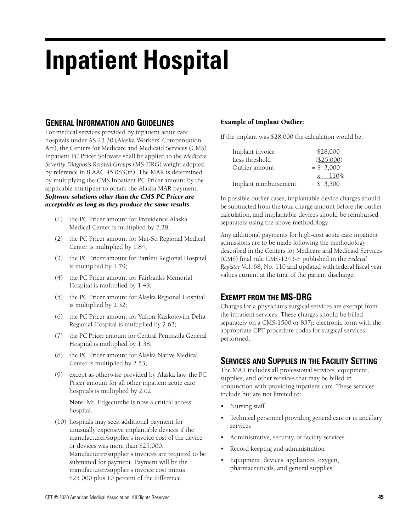## **Inpatient Hospital**

## **GENERAL INFORMATION AND GUIDELINES**

For medical services provided by inpatient acute care hospitals under AS 23.30 (Alaska Workers' Compensation Act), the Centers for Medicare and Medicaid Services (CMS) Inpatient PC Pricer Software shall be applied to the *Medicare Severity Diagnosis Related Groups* (MS-DRG) weight adopted by reference in 8 AAC 45.083(m). The MAR is determined by multiplying the CMS Inpatient PC Pricer amount by the applicable multiplier to obtain the Alaska MAR payment. *Software solutions other than the CMS PC Pricer are acceptable as long as they produce the same results.*

- (1) the PC Pricer amount for Providence Alaska Medical Center is multiplied by 2.38;
	- (2) the PC Pricer amount for Mat-Su Regional Medical Center is multiplied by 1.84;
	- (3) the PC Pricer amount for Bartlett Regional Hospital is multiplied by 1.79;
	- (4) the PC Pricer amount for Fairbanks Memorial Hospital is multiplied by 1.48;
	- (5) the PC Pricer amount for Alaska Regional Hospital is multiplied by 2.32;
	- (6) the PC Pricer amount for Yukon Kuskokwim Delta Regional Hospital is multiplied by 2.63;
	- (7) the PC Pricer amount for Central Peninsula General Hospital is multiplied by 1.38;
- (8) the PC Pricer amount for Alaska Native Medical Center is multiplied by 2.53;
- (9) except as otherwise provided by Alaska law, the PC Pricer amount for all other inpatient acute care hospitals is multiplied by 2.02;

**Note:** Mt. Edgecumbe is now a critical access hospital.

(10) hospitals may seek additional payment for unusually expensive implantable devices if the manufacturer/supplier's invoice cost of the device or devices was more than \$25,000. Manufacturer/supplier's invoices are required to be submitted for payment. Payment will be the manufacturer/supplier's invoice cost minus \$25,000 plus 10 percent of the difference.

#### **Example of Implant Outlier:**

If the implant was \$28,000 the calculation would be:

| Implant invoice       | \$28,000   |
|-----------------------|------------|
| Less threshold        | (\$25,000) |
| Outlier amount        | $= $3,000$ |
|                       | x 110\%    |
| Implant reimbursement | $= $3.300$ |

In possible outlier cases, implantable device charges should be subtracted from the total charge amount before the outlier calculation, and implantable devices should be reimbursed separately using the above methodology.

Any additional payments for high-cost acute care inpatient admissions are to be made following the methodology described in the Centers for Medicare and Medicaid Services (CMS) final rule CMS-1243-F published in the *Federal Register* Vol. 68, No. 110 and updated with federal fiscal year values current at the time of the patient discharge.

## **EXEMPT FROM THE MS-DRG**

Charges for a physician's surgical services are exempt from the inpatient services. These charges should be billed separately on a CMS-1500 or 837p electronic form with the appropriate CPT procedure codes for surgical services performed.

## **SERVICES AND SUPPLIES IN THE FACILITY SETTING**

The MAR includes all professional services, equipment, supplies, and other services that may be billed in conjunction with providing inpatient care. These services include but are not limited to:

- Nursing staff
- Technical personnel providing general care or in ancillary services
- Administrative, security, or facility services
- Record keeping and administration
- Equipment, devices, appliances, oxygen, pharmaceuticals, and general supplies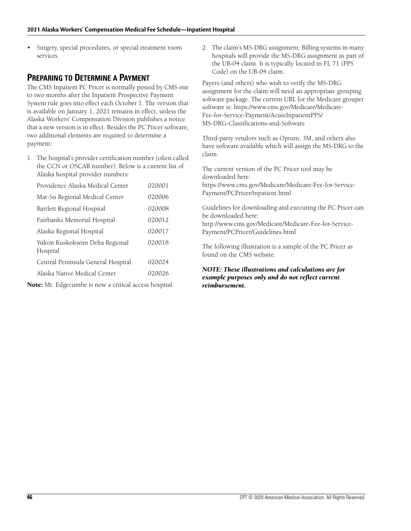Surgery, special procedures, or special treatment room services

## **PREPARING TO DETERMINE A PAYMENT**

The CMS Inpatient PC Pricer is normally posted by CMS one to two months after the Inpatient Prospective Payment System rule goes into effect each October 1. The version that is available on January 1, 2021 remains in effect, unless the Alaska Workers' Compensation Division publishes a notice that a new version is in effect. Besides the PC Pricer software, two additional elements are required to determine a payment:

1. The hospital's provider certification number (often called the CCN or OSCAR number): Below is a current list of Alaska hospital provider numbers:

| Providence Alaska Medical Center           | 020001 |
|--------------------------------------------|--------|
| Mat-Su Regional Medical Center             | 020006 |
| Bartlett Regional Hospital                 | 020008 |
| Fairbanks Memorial Hospital                | 020012 |
| Alaska Regional Hospital                   | 020017 |
| Yukon Kuskokwim Delta Regional<br>Hospital | 020018 |
| Central Peninsula General Hospital         | 020024 |
| Alaska Native Medical Center               | 020026 |

**Note:** Mt. Edgecumbe is now a critical access hospital.

2. The claim's MS-DRG assignment: Billing systems in many hospitals will provide the MS-DRG assignment as part of the UB-04 claim. It is typically located in FL 71 (PPS Code) on the UB-04 claim.

Payers (and others) who wish to verify the MS-DRG assignment for the claim will need an appropriate grouping software package. The current URL for the Medicare grouper software is: https://www.cms.gov/Medicare/Medicare-Fee-for-Service-Payment/AcuteInpatientPPS/ MS-DRG-Classifications-and-Software

Third-party vendors such as Optum, 3M, and others also have software available which will assign the MS-DRG to the claim.

The current version of the PC Pricer tool may be downloaded here:

https://www.cms.gov/Medicare/Medicare-Fee-for-Service-Payment/PCPricer/inpatient.html

Guidelines for downloading and executing the PC Pricer can be downloaded here:

http://www.cms.gov/Medicare/Medicare-Fee-for-Service-Payment/PCPricer/Guidelines.html

The following illustration is a sample of the PC Pricer as found on the CMS website.

#### *NOTE: These illustrations and calculations are for example purposes only and do not reflect current reimbursement.*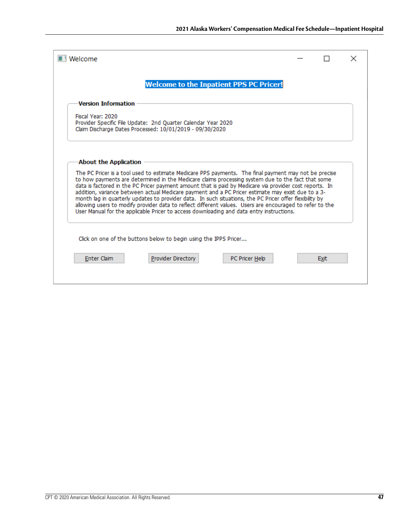|                            |                                                                                                                           | <b>Welcome to the Inpatient PPS PC Pricer!</b>                                                                                                                                                                                                                                                                                                                                                                                                                                                                                                                                                                                                                                                                                               |  |  |
|----------------------------|---------------------------------------------------------------------------------------------------------------------------|----------------------------------------------------------------------------------------------------------------------------------------------------------------------------------------------------------------------------------------------------------------------------------------------------------------------------------------------------------------------------------------------------------------------------------------------------------------------------------------------------------------------------------------------------------------------------------------------------------------------------------------------------------------------------------------------------------------------------------------------|--|--|
| <b>Version Information</b> |                                                                                                                           |                                                                                                                                                                                                                                                                                                                                                                                                                                                                                                                                                                                                                                                                                                                                              |  |  |
| Fiscal Year: 2020          | Provider Specific File Update: 2nd Ouarter Calendar Year 2020<br>Claim Discharge Dates Processed: 10/01/2019 - 09/30/2020 |                                                                                                                                                                                                                                                                                                                                                                                                                                                                                                                                                                                                                                                                                                                                              |  |  |
| About the Application      |                                                                                                                           |                                                                                                                                                                                                                                                                                                                                                                                                                                                                                                                                                                                                                                                                                                                                              |  |  |
|                            |                                                                                                                           | The PC Pricer is a tool used to estimate Medicare PPS payments. The final payment may not be precise<br>to how payments are determined in the Medicare claims processing system due to the fact that some<br>data is factored in the PC Pricer payment amount that is paid by Medicare via provider cost reports. In<br>addition, variance between actual Medicare payment and a PC Pricer estimate may exist due to a 3-<br>month lag in quarterly updates to provider data. In such situations, the PC Pricer offer flexibility by<br>allowing users to modify provider data to reflect different values. Users are encouraged to refer to the<br>User Manual for the applicable Pricer to access downloading and data entry instructions. |  |  |
|                            | Click on one of the buttons below to begin using the IPPS Pricer                                                          |                                                                                                                                                                                                                                                                                                                                                                                                                                                                                                                                                                                                                                                                                                                                              |  |  |
|                            |                                                                                                                           |                                                                                                                                                                                                                                                                                                                                                                                                                                                                                                                                                                                                                                                                                                                                              |  |  |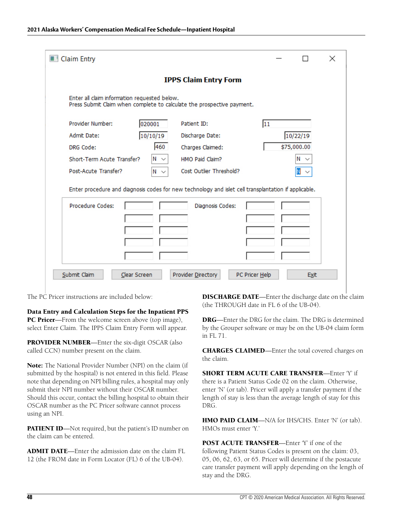| Claim Entry                                                                                                            |                                      |    |             | $\times$ |  |  |
|------------------------------------------------------------------------------------------------------------------------|--------------------------------------|----|-------------|----------|--|--|
| <b>IPPS Claim Entry Form</b>                                                                                           |                                      |    |             |          |  |  |
| Enter all claim information requested below.<br>Press Submit Claim when complete to calculate the prospective payment. |                                      |    |             |          |  |  |
| Provider Number:<br>020001                                                                                             | Patient ID:                          | 11 |             |          |  |  |
| Admit Date:<br>10/10/19                                                                                                | Discharge Date:                      |    | 10/22/19    |          |  |  |
| 460<br>DRG Code:                                                                                                       | Charges Claimed:                     |    | \$75,000.00 |          |  |  |
| Short-Term Acute Transfer?<br>N ×                                                                                      | HMO Paid Claim?                      |    | $N \sim$    |          |  |  |
| Post-Acute Transfer?<br>$N \sim$                                                                                       | Cost Outlier Threshold?              |    |             |          |  |  |
| Enter procedure and diagnosis codes for new technology and islet cell transplantation if applicable.                   |                                      |    |             |          |  |  |
| Procedure Codes:                                                                                                       | Diagnosis Codes:                     |    |             |          |  |  |
|                                                                                                                        |                                      |    |             |          |  |  |
|                                                                                                                        |                                      |    |             |          |  |  |
|                                                                                                                        |                                      |    |             |          |  |  |
|                                                                                                                        |                                      |    |             |          |  |  |
| Submit Claim<br>Clear Screen                                                                                           | Provider Directory<br>PC Pricer Help |    | Exit        |          |  |  |

The PC Pricer instructions are included below:

**Data Entry and Calculation Steps for the Inpatient PPS PC Pricer**—From the welcome screen above (top image), select Enter Claim. The IPPS Claim Entry Form will appear.

**PROVIDER NUMBER**—Enter the six-digit OSCAR (also called CCN) number present on the claim.

**Note:** The National Provider Number (NPI) on the claim (if submitted by the hospital) is not entered in this field. Please note that depending on NPI billing rules, a hospital may only submit their NPI number without their OSCAR number. Should this occur, contact the billing hospital to obtain their OSCAR number as the PC Pricer software cannot process using an NPI.

**PATIENT ID**—Not required, but the patient's ID number on the claim can be entered.

**ADMIT DATE**—Enter the admission date on the claim FL 12 (the FROM date in Form Locator (FL) 6 of the UB-04).

**DISCHARGE DATE**—Enter the discharge date on the claim (the THROUGH date in FL 6 of the UB-04).

**DRG**—Enter the DRG for the claim. The DRG is determined by the Grouper software or may be on the UB-04 claim form in FL 71.

**CHARGES CLAIMED**—Enter the total covered charges on the claim.

**SHORT TERM ACUTE CARE TRANSFER**—Enter 'Y' if there is a Patient Status Code 02 on the claim. Otherwise, enter 'N' (or tab). Pricer will apply a transfer payment if the length of stay is less than the average length of stay for this DRG.

**HMO PAID CLAIM**—N/A for IHS/CHS. Enter 'N' (or tab). HMOs must enter 'Y.'

**POST ACUTE TRANSFER**—Enter 'Y' if one of the following Patient Status Codes is present on the claim: 03, 05, 06, 62, 63, or 65. Pricer will determine if the postacute care transfer payment will apply depending on the length of stay and the DRG.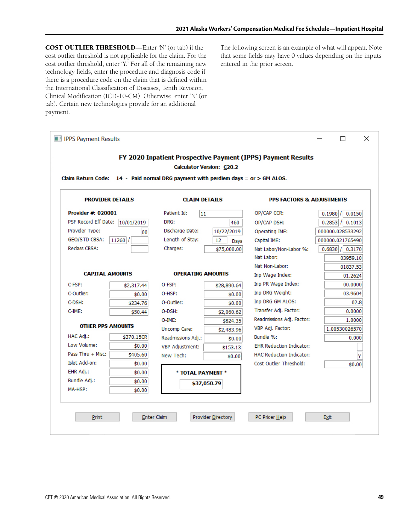**COST OUTLIER THRESHOLD**—Enter 'N' (or tab) if the cost outlier threshold is not applicable for the claim. For the cost outlier threshold, enter 'Y.' For all of the remaining new technology fields, enter the procedure and diagnosis code if there is a procedure code on the claim that is defined within the International Classification of Diseases, Tenth Revision, Clinical Modification (ICD-10-CM). Otherwise, enter 'N' (or tab). Certain new technologies provide for an additional payment.

The following screen is an example of what will appear. Note that some fields may have 0 values depending on the inputs entered in the prior screen.

|                                                                                          |                         | Claim Return Code: $14$ - Paid normal DRG payment with perdiem days = or > GM ALOS. |                                 |                                                              |                                                                              |
|------------------------------------------------------------------------------------------|-------------------------|-------------------------------------------------------------------------------------|---------------------------------|--------------------------------------------------------------|------------------------------------------------------------------------------|
|                                                                                          | <b>PROVIDER DETAILS</b> | <b>CLAIM DETAILS</b>                                                                |                                 | <b>PPS FACTORS &amp; ADJUSTMENTS</b>                         |                                                                              |
| Provider #: 020001<br>PSF Record Eff Date: 10/01/2019<br>Provider Type:<br>GEO/STD CBSA: | 00<br>11260             | Patient Id:<br>11<br>DRG:<br>Discharge Date:<br>Length of Stay:                     | 460<br>10/22/2019<br>12<br>Davs | OP/CAP CCR:<br>OP/CAP DSH:<br>Operating IME:<br>Capital IME: | 0.1980<br>0.0150<br>0.2853<br>0.1013<br>000000.028533292<br>000000.021765490 |
| Reclass CBSA:                                                                            |                         | Charges:                                                                            | \$75,000.00                     | Nat Labor/Non-Labor %:<br>Nat Labor:<br>Nat Non-Labor:       | $0.6830$ / $0.3170$<br>03959.10<br>01837.53                                  |
| <b>CAPITAL AMOUNTS</b>                                                                   |                         | <b>OPERATING AMOUNTS</b>                                                            |                                 | Inp Wage Index:                                              | 01.2624                                                                      |
| C-FSP:                                                                                   | \$2,317.44              | O-FSP:                                                                              | \$28,890.64                     | Inp PR Wage Index:<br>Inp DRG Weight:                        | 00.0000                                                                      |
| C-Outlier:<br>C-DSH:                                                                     | \$0.00                  | O-HSP:<br>O-Outlier:                                                                | \$0.00                          | Inp DRG GM ALOS:                                             | 03.9604<br>02.8                                                              |
| $C$ -IME:                                                                                | \$234.76                | O-DSH:                                                                              | \$0.00                          | Transfer Adj. Factor:                                        | 0.0000                                                                       |
|                                                                                          | \$50.44                 | $O-IME:$                                                                            | \$2,060.62                      | Readmissions Adj. Factor:                                    | 1.0000                                                                       |
| <b>OTHER PPS AMOUNTS</b>                                                                 |                         | Uncomp Care:                                                                        | \$824.35<br>\$2,483.96          | VBP Adi. Factor:                                             | 1.00530026570                                                                |
| HAC Adj.:                                                                                | \$370.15CR              | Readmissions Adj.:                                                                  | \$0.00                          | Bundle %:                                                    | 0.000                                                                        |
| Low Volume:                                                                              | \$0.00                  | VBP Adjustment:                                                                     | \$153.13                        | <b>EHR Reduction Indicator:</b>                              |                                                                              |
| Pass Thru + Misc:                                                                        | \$405.60                | New Tech:                                                                           | \$0.00                          | <b>HAC Reduction Indicator:</b>                              |                                                                              |
| Islet Add-on:                                                                            | \$0.00                  |                                                                                     |                                 | Cost Outlier Threshold:                                      | \$0.00                                                                       |
| EHR Adj.:                                                                                | \$0.00                  | * TOTAL PAYMENT *                                                                   |                                 |                                                              |                                                                              |
| Bundle Adj.:                                                                             | \$0.00                  | \$37,050.79                                                                         |                                 |                                                              |                                                                              |
|                                                                                          |                         |                                                                                     |                                 |                                                              |                                                                              |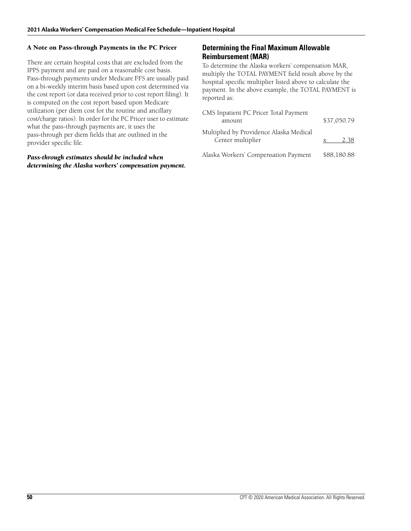#### **A Note on Pass-through Payments in the PC Pricer**

There are certain hospital costs that are excluded from the IPPS payment and are paid on a reasonable cost basis. Pass-through payments under Medicare FFS are usually paid on a bi-weekly interim basis based upon cost determined via the cost report (or data received prior to cost report filing). It is computed on the cost report based upon Medicare utilization (per diem cost for the routine and ancillary cost/charge ratios). In order for the PC Pricer user to estimate what the pass-through payments are, it uses the pass-through per diem fields that are outlined in the provider specific file.

#### *Pass-through estimates should be included when determining the Alaska workers' compensation payment.*

#### **Determining the Final Maximum Allowable Reimbursement (MAR)**

To determine the Alaska workers' compensation MAR, multiply the TOTAL PAYMENT field result above by the hospital specific multiplier listed above to calculate the payment. In the above example, the TOTAL PAYMENT is reported as:

| CMS Inpatient PC Pricer Total Payment<br>amount              | \$37,050.79 |
|--------------------------------------------------------------|-------------|
| Multiplied by Providence Alaska Medical<br>Center multiplier | 2.38        |
| Alaska Workers' Compensation Payment                         | \$88,180.88 |